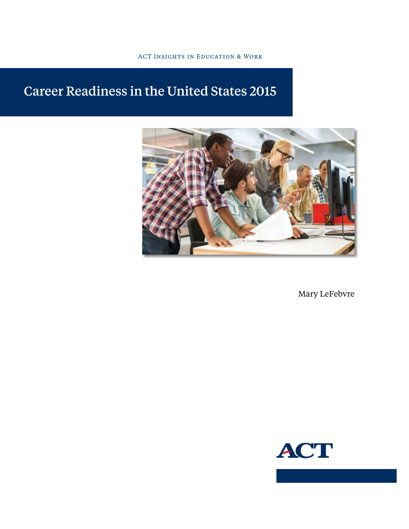#### ACT Insights in Education & Work

# Career Readiness in the United States 2015



Mary LeFebvre

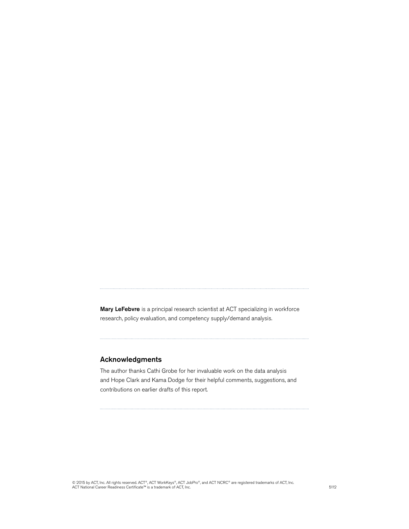Mary LeFebvre is a principal research scientist at ACT specializing in workforce research, policy evaluation, and competency supply/demand analysis.

#### Acknowledgments

The author thanks Cathi Grobe for her invaluable work on the data analysis and Hope Clark and Kama Dodge for their helpful comments, suggestions, and contributions on earlier drafts of this report.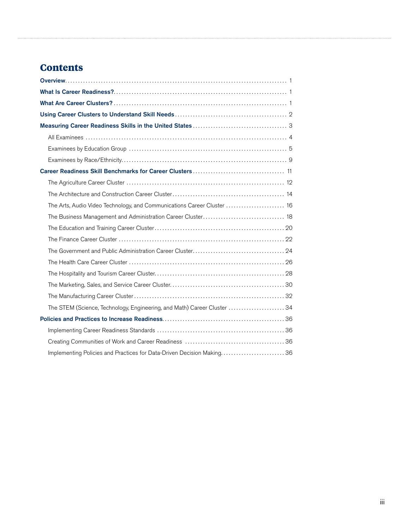## **Contents**

| The Arts, Audio Video Technology, and Communications Career Cluster  16  |
|--------------------------------------------------------------------------|
|                                                                          |
|                                                                          |
|                                                                          |
|                                                                          |
|                                                                          |
|                                                                          |
|                                                                          |
|                                                                          |
| The STEM (Science, Technology, Engineering, and Math) Career Cluster  34 |
|                                                                          |
|                                                                          |
|                                                                          |
| Implementing Policies and Practices for Data-Driven Decision Making36    |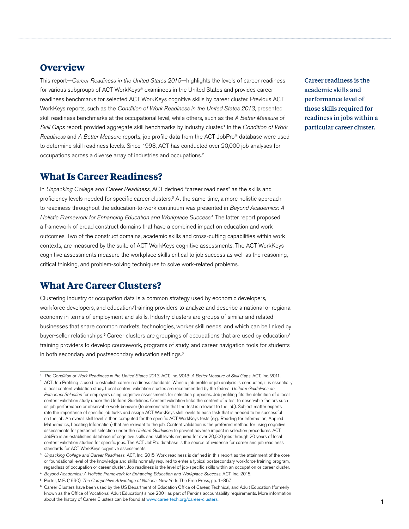## <span id="page-4-0"></span>**Overview**

This report—*Career Readiness in the United States 2015*—highlights the levels of career readiness for various subgroups of ACT WorkKeys® examinees in the United States and provides career readiness benchmarks for selected ACT WorkKeys cognitive skills by career cluster. Previous ACT WorkKeys reports, such as the *Condition of Work Readiness in the United States 2013*, presented skill readiness benchmarks at the occupational level, while others, such as the *A Better Measure of Skill Gaps* report, provided aggregate skill benchmarks by industry cluster.<sup>1</sup> In the *Condition of Work Readiness* and *A Better Measure* reports, job profile data from the ACT JobPro® database were used to determine skill readiness levels. Since 1993, ACT has conducted over 20,000 job analyses for occupations across a diverse array of industries and occupations.<sup>2</sup>

## **What Is Career Readiness?**

In *Unpacking College and Career Readiness*, ACT defined "career readiness" as the skills and proficiency levels needed for specific career clusters.<sup>3</sup> At the same time, a more holistic approach to readiness throughout the education-to-work continuum was presented in *Beyond Academics: A*  Holistic Framework for Enhancing Education and Workplace Success.<sup>4</sup> The latter report proposed a framework of broad construct domains that have a combined impact on education and work outcomes. Two of the construct domains, academic skills and cross-cutting capabilities within work contexts, are measured by the suite of ACT WorkKeys cognitive assessments. The ACT WorkKeys cognitive assessments measure the workplace skills critical to job success as well as the reasoning, critical thinking, and problem-solving techniques to solve work-related problems.

## **What Are Career Clusters?**

Clustering industry or occupation data is a common strategy used by economic developers, workforce developers, and education/training providers to analyze and describe a national or regional economy in terms of employment and skills. Industry clusters are groups of similar and related businesses that share common markets, technologies, worker skill needs, and which can be linked by buyer-seller relationships.<sup>5</sup> Career clusters are groupings of occupations that are used by education/ training providers to develop coursework, programs of study, and career navigation tools for students in both secondary and postsecondary education settings.<sup>6</sup>

Career readiness is the academic skills and performance level of those skills required for readiness in jobs within a particular career cluster.

<sup>1</sup>*The Condition of Work Readiness in the United States 2013*. ACT, Inc. 2013; *A Better Measure of Skill Gaps*. ACT, Inc. 2011.

<sup>&</sup>lt;sup>2</sup> ACT Job Profiling is used to establish career readiness standards. When a job profile or job analysis is conducted, it is essentially a local content validation study. Local content validation studies are recommended by the federal *Uniform Guidelines on Personnel Selection* for employers using cognitive assessments for selection purposes. Job profiling fits the definition of a local content validation study under the Uniform Guidelines. Content validation links the content of a test to observable factors such as job performance or observable work behavior (to demonstrate that the test is relevant to the job). Subject matter experts rate the importance of specific job tasks and assign ACT WorkKeys skill levels to each task that is needed to be successful on the job. An overall skill level is then computed for the specific ACT WorkKeys tests (e.g., Reading for Information, Applied Mathematics, Locating Information) that are relevant to the job. Content validation is the preferred method for using cognitive assessments for personnel selection under the *Uniform Guidelines* to prevent adverse impact in selection procedures. ACT JobPro is an established database of cognitive skills and skill levels required for over 20,000 jobs through 20 years of local content validation studies for specific jobs. The ACT JobPro database is the source of evidence for career and job readiness standards for ACT WorkKeys cognitive assessments.

<sup>3</sup>*Unpacking College and Career Readiness.* ACT, Inc. 2015. Work readiness is defined in this report as the attainment of the core or foundational level of the knowledge and skills normally required to enter a typical postsecondary workforce training program, regardless of occupation or career cluster. Job readiness is the level of job-specific skills within an occupation or career cluster.

<sup>4</sup>*Beyond Academics: A Holistic Framework for Enhancing Education and Workplace Success.* ACT, Inc. 2015.

<sup>&</sup>lt;sup>5</sup> Porter, M.E. (1990). *The Competitive Advantage of Nations.* New York: The Free Press, pp. 1-857.

<sup>&</sup>lt;sup>6</sup> Career Clusters have been used by the US Department of Education Office of Career, Technical, and Adult Education (formerly known as the Office of Vocational Adult Education) since 2001 as part of Perkins accountability requirements. More information about the history of Career Clusters can be found at [www.careertech.org/career-clusters](http://www.onetonline.org/).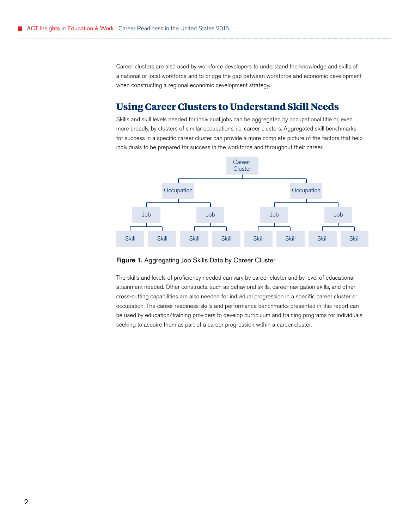<span id="page-5-0"></span>Career clusters are also used by workforce developers to understand the knowledge and skills of a national or local workforce and to bridge the gap between workforce and economic development when constructing a regional economic development strategy.

## **Using Career Clusters to Understand Skill Needs**

Skills and skill levels needed for individual jobs can be aggregated by occupational title or, even more broadly, by clusters of similar occupations, i.e. career clusters. Aggregated skill benchmarks for success in a specific career cluster can provide a more complete picture of the factors that help individuals to be prepared for success in the workforce and throughout their career.



#### Figure 1. Aggregating Job Skills Data by Career Cluster

The skills and levels of proficiency needed can vary by career cluster and by level of educational attainment needed. Other constructs, such as behavioral skills, career navigation skills, and other cross-cutting capabilities are also needed for individual progression in a specific career cluster or occupation. The career readiness skills and performance benchmarks presented in this report can be used by education/training providers to develop curriculum and training programs for individuals seeking to acquire them as part of a career progression within a career cluster.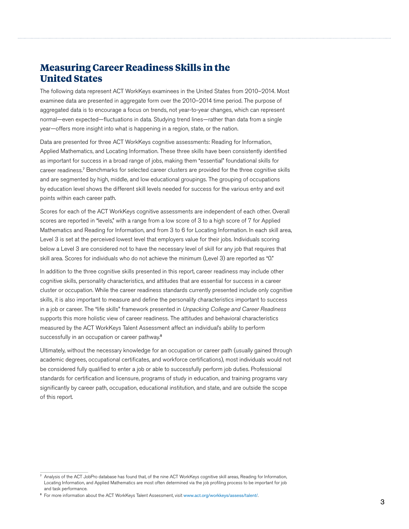## <span id="page-6-0"></span>**Measuring Career Readiness Skills in the United States**

The following data represent ACT WorkKeys examinees in the United States from 2010–2014. Most examinee data are presented in aggregate form over the 2010–2014 time period. The purpose of aggregated data is to encourage a focus on trends, not year-to-year changes, which can represent normal—even expected—fluctuations in data. Studying trend lines—rather than data from a single year—offers more insight into what is happening in a region, state, or the nation.

Data are presented for three ACT WorkKeys cognitive assessments: Reading for Information, Applied Mathematics, and Locating Information. These three skills have been consistently identified as important for success in a broad range of jobs, making them "essential" foundational skills for career readiness.<sup>7</sup> Benchmarks for selected career clusters are provided for the three cognitive skills and are segmented by high, middle, and low educational groupings. The grouping of occupations by education level shows the different skill levels needed for success for the various entry and exit points within each career path.

Scores for each of the ACT WorkKeys cognitive assessments are independent of each other. Overall scores are reported in "levels," with a range from a low score of 3 to a high score of 7 for Applied Mathematics and Reading for Information, and from 3 to 6 for Locating Information. In each skill area, Level 3 is set at the perceived lowest level that employers value for their jobs. Individuals scoring below a Level 3 are considered not to have the necessary level of skill for any job that requires that skill area. Scores for individuals who do not achieve the minimum (Level 3) are reported as "0."

In addition to the three cognitive skills presented in this report, career readiness may include other cognitive skills, personality characteristics, and attitudes that are essential for success in a career cluster or occupation. While the career readiness standards currently presented include only cognitive skills, it is also important to measure and define the personality characteristics important to success in a job or career. The "life skills" framework presented in *Unpacking College and Career Readiness*  supports this more holistic view of career readiness. The attitudes and behavioral characteristics measured by the ACT WorkKeys Talent Assessment affect an individual's ability to perform successfully in an occupation or career pathway.<sup>8</sup>

Ultimately, without the necessary knowledge for an occupation or career path (usually gained through academic degrees, occupational certificates, and workforce certifications), most individuals would not be considered fully qualified to enter a job or able to successfully perform job duties. Professional standards for certification and licensure, programs of study in education, and training programs vary significantly by career path, occupation, educational institution, and state, and are outside the scope of this report.

<sup>&</sup>lt;sup>7</sup> Analysis of the ACT JobPro database has found that, of the nine ACT WorkKeys cognitive skill areas, Reading for Information, Locating Information, and Applied Mathematics are most often determined via the job profiling process to be important for job and task performance.

<sup>&</sup>lt;sup>8</sup> For more information about the ACT WorkKeys Talent Assessment, visit [www.act.org/workkeys/assess/talent/](http://www.onetonline.org/).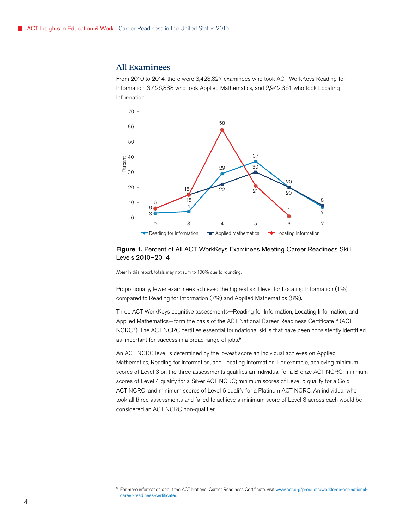### <span id="page-7-0"></span>All Examinees

From 2010 to 2014, there were 3,423,827 examinees who took ACT WorkKeys Reading for Information, 3,426,838 who took Applied Mathematics, and 2,942,361 who took Locating Information.



#### Figure 1. Percent of All ACT WorkKeys Examinees Meeting Career Readiness Skill Levels 2010–2014

*Note:* In this report, totals may not sum to 100% due to rounding.

Proportionally, fewer examinees achieved the highest skill level for Locating Information (1%) compared to Reading for Information (7%) and Applied Mathematics (8%).

as important for success in a broad range of jobs.<sup>9</sup> Three ACT WorkKeys cognitive assessments—Reading for Information, Locating Information, and Applied Mathematics—form the basis of the ACT National Career Readiness Certificate™ (ACT NCRC®). The ACT NCRC certifies essential foundational skills that have been consistently identified

An ACT NCRC level is determined by the lowest score an individual achieves on Applied Mathematics, Reading for Information, and Locating Information. For example, achieving minimum scores of Level 3 on the three assessments qualifies an individual for a Bronze ACT NCRC; minimum scores of Level 4 qualify for a Silver ACT NCRC; minimum scores of Level 5 qualify for a Gold ACT NCRC; and minimum scores of Level 6 qualify for a Platinum ACT NCRC. An individual who took all three assessments and failed to achieve a minimum score of Level 3 across each would be considered an ACT NCRC non-qualifier.

<sup>9</sup> For more information about the ACT National Career Readiness Certificate, visit [www.act.org/products/workforce-act-national](http://www.onetonline.org/)[career-readiness-certificate/](http://www.onetonline.org/).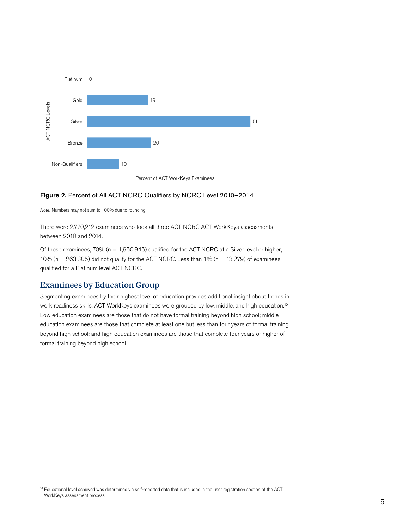<span id="page-8-0"></span>

#### Figure 2. Percent of All ACT NCRC Qualifiers by NCRC Level 2010–2014

*Note:* Numbers may not sum to 100% due to rounding.

There were 2,770,212 examinees who took all three ACT NCRC ACT WorkKeys assessments between 2010 and 2014.

Of these examinees, 70% (n = 1,950,945) qualified for the ACT NCRC at a Silver level or higher; 10% (n = 263,305) did not qualify for the ACT NCRC. Less than 1% (n = 13,279) of examinees qualified for a Platinum level ACT NCRC.

### Examinees by Education Group

work readiness skills. ACT WorkKeys examinees were grouped by low, middle, and high [education.](http://www.onetonline.org/)<sup>10</sup> Segmenting examinees by their highest level of education provides additional insight about trends in Low education examinees are those that do not have formal training beyond high school; middle education examinees are those that complete at least one but less than four years of formal training beyond high school; and high education examinees are those that complete four years or higher of formal training beyond high school.

<sup>10</sup> Educational level achieved was determined via self-reported data that is included in the user registration section of the ACT WorkKeys assessment process.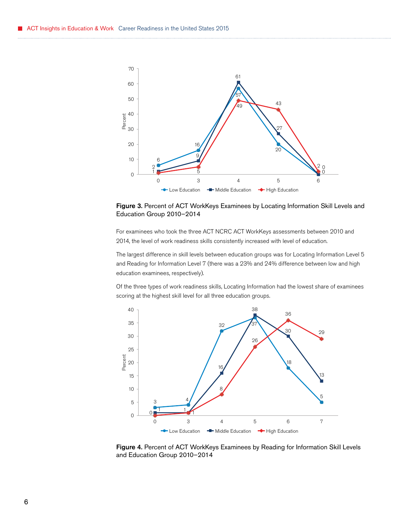

Figure 3. Percent of ACT WorkKeys Examinees by Locating Information Skill Levels and Education Group 2010–2014

For examinees who took the three ACT NCRC ACT WorkKeys assessments between 2010 and 2014, the level of work readiness skills consistently increased with level of education.

The largest difference in skill levels between education groups was for Locating Information Level 5 and Reading for Information Level 7 (there was a 23% and 24% difference between low and high education examinees, respectively).

Of the three types of work readiness skills, Locating Information had the lowest share of examinees scoring at the highest skill level for all three education groups.



Figure 4. Percent of ACT WorkKeys Examinees by Reading for Information Skill Levels and Education Group 2010–2014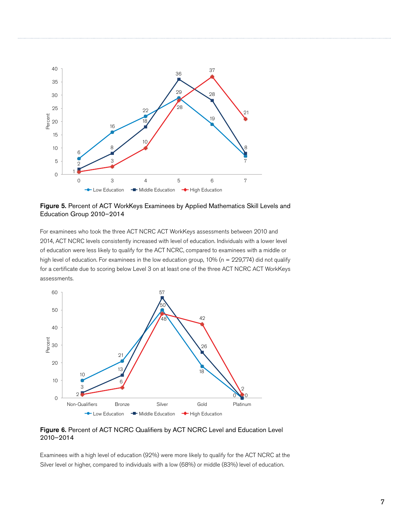

Figure 5. Percent of ACT WorkKeys Examinees by Applied Mathematics Skill Levels and Education Group 2010–2014

For examinees who took the three ACT NCRC ACT WorkKeys assessments between 2010 and 2014, ACT NCRC levels consistently increased with level of education. Individuals with a lower level of education were less likely to qualify for the ACT NCRC, compared to examinees with a middle or high level of education. For examinees in the low education group, 10% (n = 229,774) did not qualify for a certificate due to scoring below Level 3 on at least one of the three ACT NCRC ACT WorkKeys assessments.



Figure 6. Percent of ACT NCRC Qualifiers by ACT NCRC Level and Education Level 2010–2014

Examinees with a high level of education (92%) were more likely to qualify for the ACT NCRC at the Silver level or higher, compared to individuals with a low (68%) or middle (83%) level of education.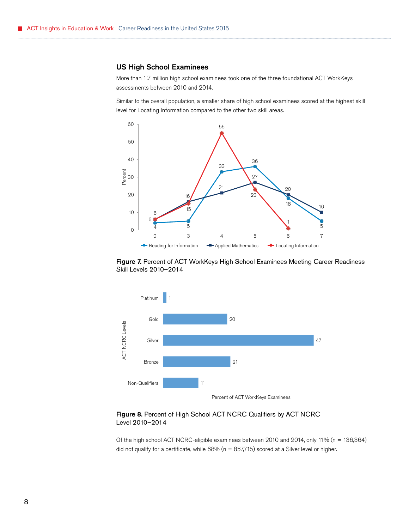#### US High School Examinees

More than 1.7 million high school examinees took one of the three foundational ACT WorkKeys assessments between 2010 and 2014.

Similar to the overall population, a smaller share of high school examinees scored at the highest skill level for Locating Information compared to the other two skill areas.







#### Figure 8. Percent of High School ACT NCRC Qualifiers by ACT NCRC Level 2010–2014

Of the high school ACT NCRC-eligible examinees between 2010 and 2014, only 11% (n = 136,364) did not qualify for a certificate, while  $68\%$  (n =  $857,715$ ) scored at a Silver level or higher.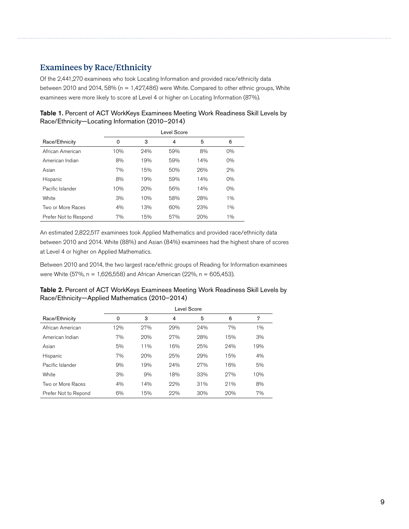## <span id="page-12-0"></span>Examinees by Race/Ethnicity

Of the 2,441,270 examinees who took Locating Information and provided race/ethnicity data between 2010 and 2014, 58% (n = 1,427,486) were White. Compared to other ethnic groups, White examinees were more likely to score at Level 4 or higher on Locating Information (87%).

| Table 1. Percent of ACT WorkKeys Examinees Meeting Work Readiness Skill Levels by |
|-----------------------------------------------------------------------------------|
| Race/Ethnicity-Locating Information (2010-2014)                                   |

|                       | Level Score |     |     |     |       |  |  |
|-----------------------|-------------|-----|-----|-----|-------|--|--|
| Race/Ethnicity        | 0           | 3   | 4   | 5   | 6     |  |  |
| African American      | 10%         | 24% | 59% | 8%  | 0%    |  |  |
| American Indian       | 8%          | 19% | 59% | 14% | 0%    |  |  |
| Asian                 | 7%          | 15% | 50% | 26% | 2%    |  |  |
| Hispanic              | 8%          | 19% | 59% | 14% | 0%    |  |  |
| Pacific Islander      | 10%         | 20% | 56% | 14% | $0\%$ |  |  |
| White                 | 3%          | 10% | 58% | 28% | 1%    |  |  |
| Two or More Races     | 4%          | 13% | 60% | 23% | 1%    |  |  |
| Prefer Not to Respond | 7%          | 15% | 57% | 20% | 1%    |  |  |

An estimated 2,822,517 examinees took Applied Mathematics and provided race/ethnicity data between 2010 and 2014. White (88%) and Asian (84%) examinees had the highest share of scores at Level 4 or higher on Applied Mathematics.

Between 2010 and 2014, the two largest race/ethnic groups of Reading for Information examinees were White (57%, n = 1,626,558) and African American (22%, n = 605,453).

| Table 2. Percent of ACT WorkKeys Examinees Meeting Work Readiness Skill Levels by |
|-----------------------------------------------------------------------------------|
| Race/Ethnicity-Applied Mathematics (2010-2014)                                    |

|                      | Level Score |        |     |     |     |       |  |
|----------------------|-------------|--------|-----|-----|-----|-------|--|
| Race/Ethnicity       | 0           | 3      | 4   | 5   | 6   | 7     |  |
| African American     | 12%         | 27%    | 29% | 24% | 7%  | $1\%$ |  |
| American Indian      | 7%          | 20%    | 27% | 28% | 15% | 3%    |  |
| Asian                | 5%          | $11\%$ | 16% | 25% | 24% | 19%   |  |
| Hispanic             | 7%          | 20%    | 25% | 29% | 15% | 4%    |  |
| Pacific Islander     | 9%          | 19%    | 24% | 27% | 16% | 5%    |  |
| White                | 3%          | 9%     | 18% | 33% | 27% | 10%   |  |
| Two or More Races    | 4%          | 14%    | 22% | 31% | 21% | 8%    |  |
| Prefer Not to Repond | 6%          | 15%    | 22% | 30% | 20% | 7%    |  |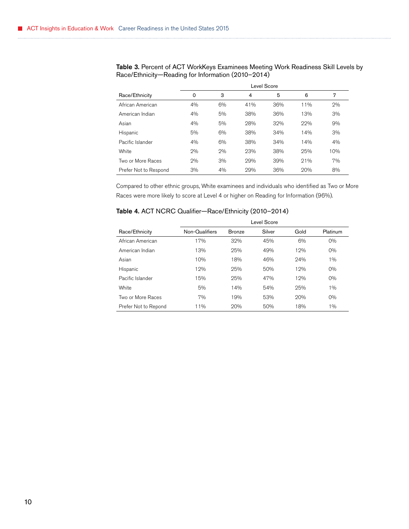|                       | Level Score |    |     |     |     |     |  |
|-----------------------|-------------|----|-----|-----|-----|-----|--|
| Race/Ethnicity        | 0           | 3  | 4   | 5   | 6   | 7   |  |
| African American      | 4%          | 6% | 41% | 36% | 11% | 2%  |  |
| American Indian       | 4%          | 5% | 38% | 36% | 13% | 3%  |  |
| Asian                 | 4%          | 5% | 28% | 32% | 22% | 9%  |  |
| Hispanic              | 5%          | 6% | 38% | 34% | 14% | 3%  |  |
| Pacific Islander      | 4%          | 6% | 38% | 34% | 14% | 4%  |  |
| White                 | 2%          | 2% | 23% | 38% | 25% | 10% |  |
| Two or More Races     | 2%          | 3% | 29% | 39% | 21% | 7%  |  |
| Prefer Not to Respond | 3%          | 4% | 29% | 36% | 20% | 8%  |  |

Table 3. Percent of ACT WorkKeys Examinees Meeting Work Readiness Skill Levels by Race/Ethnicity—Reading for Information (2010–2014)

Compared to other ethnic groups, White examinees and individuals who identified as Two or More Races were more likely to score at Level 4 or higher on Reading for Information (96%).

| Table 4. ACT NCRC Qualifier-Race/Ethnicity (2010-2014) |  |  |  |
|--------------------------------------------------------|--|--|--|
|--------------------------------------------------------|--|--|--|

|                      | Level Score    |               |        |      |          |  |  |
|----------------------|----------------|---------------|--------|------|----------|--|--|
| Race/Ethnicity       | Non-Qualifiers | <b>Bronze</b> | Silver | Gold | Platinum |  |  |
| African American     | 17%            | 32%           | 45%    | 6%   | 0%       |  |  |
| American Indian      | 13%            | 25%           | 49%    | 12%  | 0%       |  |  |
| Asian                | 10%            | 18%           | 46%    | 24%  | 1%       |  |  |
| Hispanic             | 12%            | 25%           | 50%    | 12%  | $0\%$    |  |  |
| Pacific Islander     | 15%            | 25%           | 47%    | 12%  | 0%       |  |  |
| White                | 5%             | 14%           | 54%    | 25%  | 1%       |  |  |
| Two or More Races    | 7%             | 19%           | 53%    | 20%  | 0%       |  |  |
| Prefer Not to Repond | 11%            | 20%           | 50%    | 18%  | $1\%$    |  |  |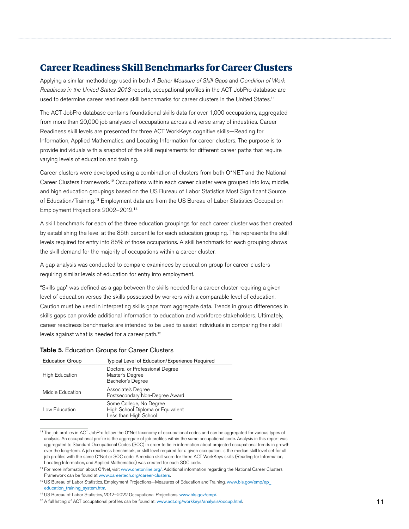## <span id="page-14-0"></span>**Career Readiness Skill Benchmarks for Career Clusters**

Applying a similar methodology used in both *A Better Measure of Skill Gaps* and *Condition of Work Readiness in the United States 2013* reports, occupational profiles in the ACT JobPro database are used to determine career readiness skill benchmarks for career clusters in the United [States.](http://www.onetonline.org/)<sup>11</sup>

The ACT JobPro database contains foundational skills data for over 1,000 occupations, aggregated from more than 20,000 job analyses of occupations across a diverse array of industries. Career Readiness skill levels are presented for three ACT WorkKeys cognitive skills—Reading for Information, Applied Mathematics, and Locating Information for career clusters. The purpose is to provide individuals with a snapshot of the skill requirements for different career paths that require varying levels of education and training.

Career clusters were developed using a combination of clusters from both O\*NET and the National Career Clusters [Framework.](http://www.onetonline.org/)<sup>12</sup> Occupations within each career cluster were grouped into low, middle, and high education groupings based on the US Bureau of Labor Statistics Most Significant Source of [Education/Training.](http://www.onetonline.org/)<sup>13</sup> Employment data are from the US Bureau of Labor Statistics Occupation Employment Projections [2002–2012.](http://www.onetonline.org/)<sup>14</sup>

A skill benchmark for each of the three education groupings for each career cluster was then created by establishing the level at the 85th percentile for each education grouping. This represents the skill levels required for entry into 85% of those occupations. A skill benchmark for each grouping shows the skill demand for the majority of occupations within a career cluster.

A gap analysis was conducted to compare examinees by education group for career clusters requiring similar levels of education for entry into employment.

"Skills gap" was defined as a gap between the skills needed for a career cluster requiring a given level of education versus the skills possessed by workers with a comparable level of education. Caution must be used in interpreting skills gaps from aggregate data. Trends in group differences in skills gaps can provide additional information to education and workforce stakeholders. Ultimately, career readiness benchmarks are intended to be used to assist individuals in comparing their skill levels against what is needed for a career path.<sup>15</sup>

| Table 5. Education Groups for Career Clusters |  |  |  |
|-----------------------------------------------|--|--|--|
|-----------------------------------------------|--|--|--|

| <b>Education Group</b> | Typical Level of Education/Experience Required                                        |
|------------------------|---------------------------------------------------------------------------------------|
| <b>High Education</b>  | Doctoral or Professional Degree<br>Master's Degree<br>Bachelor's Degree               |
| Middle Education       | Associate's Degree<br>Postsecondary Non-Degree Award                                  |
| Low Education          | Some College, No Degree<br>High School Diploma or Equivalent<br>Less than High School |

<sup>11</sup>The job profiles in ACT JobPro follow the O\*Net taxonomy of occupational codes and can be aggregated for various types of analysis. An occupational profile is the aggregate of job profiles within the same occupational code. Analysis in this report was aggregated to Standard Occupational Codes (SOC) in order to tie in information about projected occupational trends in growth over the long-term. A job readiness benchmark, or skill level required for a given occupation, is the median skill level set for all job profiles with the same O\*Net or SOC code. A median skill score for three ACT WorkKeys skills (Reading for Information, Locating Information, and Applied Mathematics) was created for each SOC code.

<sup>&</sup>lt;sup>12</sup> For more information about O\*Net, visit [www.onetonline.org/](http://www.onetonline.org/). Additional information regarding the National Career Clusters Framework can be found at [www.careertech.org/career-clusters](http://www.onetonline.org/).

<sup>13</sup>US Bureau of Labor Statistics, Employment Projections—Measures of Education and Training. [www.bls.gov/emp/ep\\_](http://www.onetonline.org/) [education\\_training\\_system.htm](http://www.onetonline.org/).

<sup>14</sup>US Bureau of Labor Statistics, 2012–2022 Occupational Projections. [www.bls.gov/emp/](http://www.onetonline.org/).

<sup>&</sup>lt;sup>15</sup> A full listing of ACT occupational profiles can be found at: [www.act.org/workkeys/analysis/occup.html](http://www.onetonline.org/). 11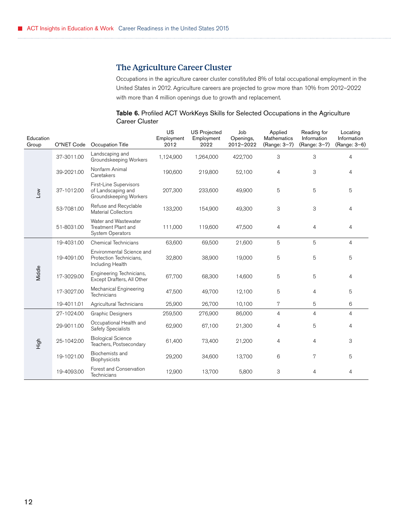## The Agriculture Career Cluster

Occupations in the agriculture career cluster constituted 8% of total occupational employment in the United States in 2012. Agriculture careers are projected to grow more than 10% from 2012–2022 with more than 4 million openings due to growth and replacement.

#### Table 6. Profiled ACT WorkKeys Skills for Selected Occupations in the Agriculture Career Cluster

<span id="page-15-0"></span>

| Education<br>Group | O*NET Code | Occupation Title                                                         | <b>US</b><br>Employment<br>2012 | <b>US Projected</b><br>Employment<br>2022 | Job<br>Openings,<br>2012-2022 | Applied<br><b>Mathematics</b><br>(Range: 3-7) | Reading for<br>Information<br>(Range: 3-7) | Locating<br>Information<br>(Range: 3-6) |
|--------------------|------------|--------------------------------------------------------------------------|---------------------------------|-------------------------------------------|-------------------------------|-----------------------------------------------|--------------------------------------------|-----------------------------------------|
|                    | 37-3011.00 | Landscaping and<br>Groundskeeping Workers                                | 1,124,900                       | 1,264,000                                 | 422,700                       | 3                                             | 3                                          | $\overline{4}$                          |
|                    | 39-2021.00 | Nonfarm Animal<br>Caretakers                                             | 190,600                         | 219,800                                   | 52,100                        | 4                                             | 3                                          | 4                                       |
| $\sim$             | 37-1012.00 | First-Line Supervisors<br>of Landscaping and<br>Groundskeeping Workers   | 207,300                         | 233,600                                   | 49,900                        | 5                                             | 5                                          | 5                                       |
|                    | 53-7081.00 | Refuse and Recyclable<br><b>Material Collectors</b>                      | 133,200                         | 154,900                                   | 49,300                        | 3                                             | 3                                          | 4                                       |
|                    | 51-8031.00 | Water and Wastewater<br>Treatment Plant and<br>System Operators          | 111,000                         | 119,600                                   | 47,500                        | 4                                             | $\overline{4}$                             | 4                                       |
|                    | 19-4031.00 | <b>Chemical Technicians</b>                                              | 63,600                          | 69,500                                    | 21,600                        | 5                                             | 5                                          | $\overline{4}$                          |
|                    | 19-4091.00 | Environmental Science and<br>Protection Technicians,<br>Including Health | 32,800                          | 38,900                                    | 19,000                        | 5                                             | 5                                          | 5                                       |
| Middle             | 17-3029.00 | Engineering Technicians,<br>Except Drafters, All Other                   | 67,700                          | 68,300                                    | 14,600                        | 5                                             | 5                                          | 4                                       |
|                    | 17-3027.00 | Mechanical Engineering<br>Technicians                                    | 47,500                          | 49,700                                    | 12,100                        | 5                                             | 4                                          | 5                                       |
|                    | 19-4011.01 | Agricultural Technicians                                                 | 25,900                          | 26,700                                    | 10,100                        | 7                                             | 5                                          | 6                                       |
|                    | 27-1024.00 | <b>Graphic Designers</b>                                                 | 259,500                         | 276,900                                   | 86,000                        | 4                                             | $\overline{4}$                             | $\overline{4}$                          |
| High               | 29-9011.00 | Occupational Health and<br>Safety Specialists                            | 62,900                          | 67,100                                    | 21,300                        | $\overline{4}$                                | 5                                          | $\overline{4}$                          |
|                    | 25-1042.00 | <b>Biological Science</b><br>Teachers, Postsecondary                     | 61,400                          | 73,400                                    | 21,200                        | 4                                             | 4                                          | 3                                       |
|                    | 19-1021.00 | Biochemists and<br>Biophysicists                                         | 29,200                          | 34,600                                    | 13,700                        | 6                                             | 7                                          | 5                                       |
|                    | 19-4093.00 | Forest and Conservation<br>Technicians                                   | 12,900                          | 13,700                                    | 5,800                         | 3                                             | 4                                          | 4                                       |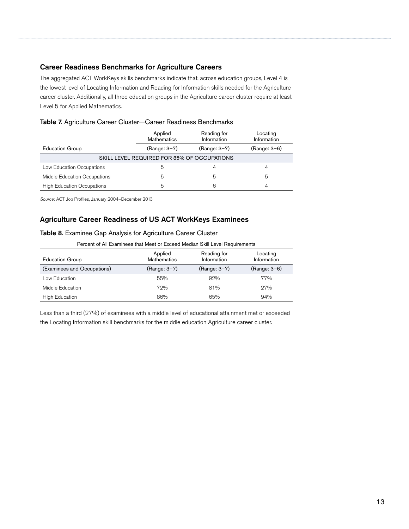#### Career Readiness Benchmarks for Agriculture Careers

The aggregated ACT WorkKeys skills benchmarks indicate that, across education groups, Level 4 is the lowest level of Locating Information and Reading for Information skills needed for the Agriculture career cluster. Additionally, all three education groups in the Agriculture career cluster require at least Level 5 for Applied Mathematics.

|                                             | Applied<br>Reading for<br>Information<br><b>Mathematics</b> |              | Locating<br>Information |  |  |  |  |
|---------------------------------------------|-------------------------------------------------------------|--------------|-------------------------|--|--|--|--|
| <b>Education Group</b>                      | (Range: 3-7)                                                | (Range: 3-7) | (Range: 3-6)            |  |  |  |  |
| SKILL LEVEL REQUIRED FOR 85% OF OCCUPATIONS |                                                             |              |                         |  |  |  |  |
| Low Education Occupations                   | b                                                           |              |                         |  |  |  |  |
| Middle Education Occupations                | 5                                                           | 5            | 5                       |  |  |  |  |
| <b>High Education Occupations</b>           | 5                                                           | 6            |                         |  |  |  |  |

*Source:* ACT Job Profiles, January 2004–December 2013

#### Agriculture Career Readiness of US ACT WorkKeys Examinees

#### Table 8. Examinee Gap Analysis for Agriculture Career Cluster

Percent of All Examinees that Meet or Exceed Median Skill Level Requirements

| <b>Education Group</b>      | Applied<br><b>Mathematics</b> | Reading for<br>Information | Locating<br>Information |
|-----------------------------|-------------------------------|----------------------------|-------------------------|
| (Examinees and Occupations) | (Range: 3-7)                  | (Range: 3-7)               | (Range: 3-6)            |
| Low Education               | 55%                           | 92%                        | 77%                     |
| Middle Education            | 72%                           | 81%                        | 27%                     |
| <b>High Education</b>       | 86%                           | 65%                        | 94%                     |

Less than a third (27%) of examinees with a middle level of educational attainment met or exceeded the Locating Information skill benchmarks for the middle education Agriculture career cluster.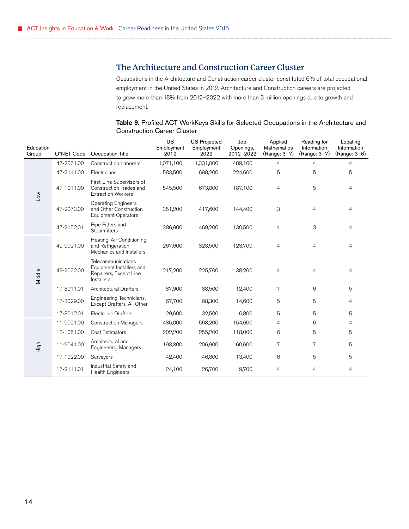## <span id="page-17-0"></span>The Architecture and Construction Career Cluster

Occupations in the Architecture and Construction career cluster constituted 6% of total occupational employment in the United States in 2012. Architecture and Construction careers are projected to grow more than 18% from 2012–2022 with more than 3 million openings due to growth and replacement.

#### Table 9. Profiled ACT WorkKeys Skills for Selected Occupations in the Architecture and Construction Career Cluster

| Education<br>Group | O*NET Code | Occupation Title                                                                              | US<br>Employment<br>2012 | <b>US Projected</b><br>Employment<br>2022 | Job<br>Openings,<br>2012-2022 | Applied<br>Mathematics<br>(Range: 3-7) | Reading for<br>Information<br>(Range: 3-7) | Locating<br>Information<br>(Range: 3-6) |
|--------------------|------------|-----------------------------------------------------------------------------------------------|--------------------------|-------------------------------------------|-------------------------------|----------------------------------------|--------------------------------------------|-----------------------------------------|
|                    | 47-2061.00 | <b>Construction Laborers</b>                                                                  | 1,071,100                | 1,331,000                                 | 489,100                       | 4                                      | $\overline{4}$                             | $\overline{4}$                          |
|                    | 47-2111.00 | Electricians                                                                                  | 583,500                  | 698,200                                   | 224,600                       | 5                                      | 5                                          | 5                                       |
| Low                | 47-1011.00 | First-Line Supervisors of<br>Construction Trades and<br><b>Extraction Workers</b>             | 545,500                  | 673,800                                   | 187,100                       | 4                                      | 5                                          | 4                                       |
|                    | 47-2073.00 | <b>Operating Engineers</b><br>and Other Construction<br><b>Equipment Operators</b>            | 351,200                  | 417,600                                   | 144,400                       | 3                                      | 4                                          | 4                                       |
|                    | 47-2152.01 | Pipe Fitters and<br><b>Steamfitters</b>                                                       | 386,900                  | 469,200                                   | 130,500                       | $\overline{4}$                         | 3                                          | 4                                       |
| Middle             | 49-9021.00 | Heating, Air Conditioning,<br>and Refrigeration<br>Mechanics and Installers                   | 267,600                  | 323,500                                   | 123,700                       | $\overline{4}$                         | 4                                          | 4                                       |
|                    | 49-2022.00 | Telecommunications<br>Equipment Installers and<br>Repairers, Except Line<br><b>Installers</b> | 217,200                  | 225,700                                   | 38,200                        | $\overline{4}$                         | $\overline{4}$                             | 4                                       |
|                    | 17-3011.01 | <b>Architectural Drafters</b>                                                                 | 87,900                   | 88,500                                    | 12,400                        | 7                                      | 6                                          | 5                                       |
|                    | 17-3029.00 | Engineering Technicians,<br>Except Drafters, All Other                                        | 67,700                   | 68,300                                    | 14,600                        | 5                                      | 5                                          | 4                                       |
|                    | 17-3012.01 | <b>Electronic Drafters</b>                                                                    | 29,600                   | 32,500                                    | 6,800                         | 5                                      | 5                                          | 5                                       |
|                    | 11-9021.00 | <b>Construction Managers</b>                                                                  | 485,000                  | 563,200                                   | 154,600                       | $\overline{4}$                         | 6                                          | 4                                       |
|                    | 13-1051.00 | Cost Estimators                                                                               | 202,200                  | 255,200                                   | 118,000                       | 6                                      | 5                                          | 5                                       |
| High               | 11-9041.00 | Architectural and<br><b>Engineering Managers</b>                                              | 193,800                  | 206,900                                   | 60,600                        | 7                                      | 7                                          | 5                                       |
|                    | 17-1022.00 | Surveyors                                                                                     | 42,400                   | 46,800                                    | 13,400                        | 6                                      | 5                                          | 5                                       |
|                    | 17-2111.01 | Industrial Safety and<br><b>Health Engineers</b>                                              | 24,100                   | 26,700                                    | 9,700                         | 4                                      | 4                                          | 4                                       |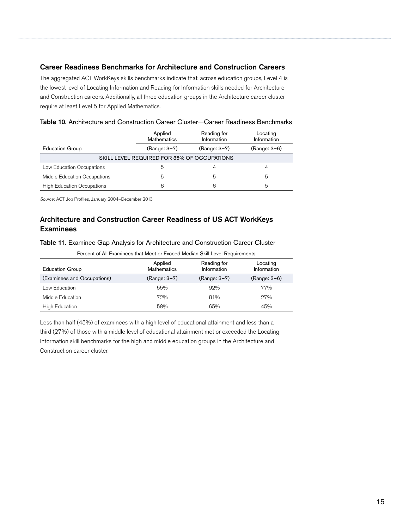#### Career Readiness Benchmarks for Architecture and Construction Careers

The aggregated ACT WorkKeys skills benchmarks indicate that, across education groups, Level 4 is the lowest level of Locating Information and Reading for Information skills needed for Architecture and Construction careers. Additionally, all three education groups in the Architecture career cluster require at least Level 5 for Applied Mathematics.

|                                             | Applied<br><b>Mathematics</b> | Reading for<br>Information | Locating<br>Information |  |  |  |  |
|---------------------------------------------|-------------------------------|----------------------------|-------------------------|--|--|--|--|
| <b>Education Group</b>                      | (Range: 3-7)                  | (Range: 3-7)               | (Range: 3-6)            |  |  |  |  |
| SKILL LEVEL REQUIRED FOR 85% OF OCCUPATIONS |                               |                            |                         |  |  |  |  |
| Low Education Occupations                   | 5                             | 4                          | 4                       |  |  |  |  |
| Middle Education Occupations                | 5                             | 5                          | 5                       |  |  |  |  |
| <b>High Education Occupations</b>           | 6                             | 6                          | 5                       |  |  |  |  |

| Table 10. Architecture and Construction Career Cluster-Career Readiness Benchmarks |  |  |
|------------------------------------------------------------------------------------|--|--|
|------------------------------------------------------------------------------------|--|--|

*Source:* ACT Job Profiles, January 2004–December 2013

## Architecture and Construction Career Readiness of US ACT WorkKeys **Examinees**

Table 11. Examinee Gap Analysis for Architecture and Construction Career Cluster

|  | Percent of All Examinees that Meet or Exceed Median Skill Level Requirements. |  |
|--|-------------------------------------------------------------------------------|--|
|  |                                                                               |  |
|  |                                                                               |  |

| <b>Education Group</b>      | Applied<br><b>Mathematics</b> | Reading for<br>Information | Locating<br>Information |
|-----------------------------|-------------------------------|----------------------------|-------------------------|
| (Examinees and Occupations) | (Range: 3-7)                  | (Range: 3-7)               | (Range: 3-6)            |
| Low Education               | 55%                           | 92%                        | 77%                     |
| Middle Education            | 72%                           | 81%                        | 27%                     |
| High Education              | 58%                           | 65%                        | 45%                     |

Less than half (45%) of examinees with a high level of educational attainment and less than a third (27%) of those with a middle level of educational attainment met or exceeded the Locating Information skill benchmarks for the high and middle education groups in the Architecture and Construction career cluster.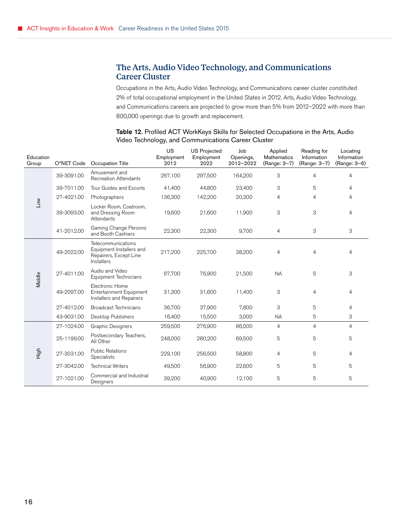## <span id="page-19-0"></span>The Arts, Audio Video Technology, and Communications Career Cluster

Occupations in the Arts, Audio Video Technology, and Communications career cluster constituted 2% of total occupational employment in the United States in 2012. Arts, Audio Video Technology, and Communications careers are projected to grow more than 5% from 2012–2022 with more than 800,000 openings due to growth and replacement.

| Education<br>Group | O*NET Code | Occupation Title                                                                              | US<br>Employment<br>2012 | <b>US Projected</b><br>Employment<br>2022 | Job<br>Openings,<br>2012-2022 | Applied<br><b>Mathematics</b><br>(Range: 3-7) | Reading for<br>Information<br>(Range: 3-7) | Locating<br>Information<br>(Range: 3–6) |
|--------------------|------------|-----------------------------------------------------------------------------------------------|--------------------------|-------------------------------------------|-------------------------------|-----------------------------------------------|--------------------------------------------|-----------------------------------------|
|                    | 39-3091.00 | Amusement and<br><b>Recreation Attendants</b>                                                 | 267,100                  | 297,500                                   | 164,200                       | 3                                             | 4                                          | 4                                       |
|                    | 39-7011.00 | Tour Guides and Escorts                                                                       | 41,400                   | 44,800                                    | 23,400                        | 3                                             | 5                                          | 4                                       |
|                    | 27-4021.00 | Photographers                                                                                 | 136,300                  | 142,200                                   | 20,300                        | 4                                             | 4                                          | 4                                       |
| ΜΟT                | 39-3093.00 | Locker Room, Coatroom,<br>and Dressing Room<br>Attendants                                     | 19,600                   | 21,600                                    | 11,900                        | 3                                             | 3                                          | 4                                       |
|                    | 41-2012.00 | Gaming Change Persons<br>and Booth Cashiers                                                   | 22,300                   | 22,300                                    | 9,700                         | 4                                             | 3                                          | 3                                       |
| Middle             | 49-2022.00 | Telecommunications<br>Equipment Installers and<br>Repairers, Except Line<br><b>Installers</b> | 217,200                  | 225,700                                   | 38,200                        | $\overline{4}$                                | 4                                          | 4                                       |
|                    | 27-4011.00 | Audio and Video<br><b>Equipment Technicians</b>                                               | 67,700                   | 76,900                                    | 21,500                        | <b>NA</b>                                     | 5                                          | 3                                       |
|                    | 49-2097.00 | Electronic Home<br>Entertainment Equipment<br>Installers and Repairers                        | 31,300                   | 31,600                                    | 11,400                        | 3                                             | 4                                          | 4                                       |
|                    | 27-4012.00 | <b>Broadcast Technicians</b>                                                                  | 36,700                   | 37,900                                    | 7,800                         | 3                                             | 5                                          | $\overline{4}$                          |
|                    | 43-9031.00 | <b>Desktop Publishers</b>                                                                     | 16,400                   | 15,500                                    | 3,000                         | <b>NA</b>                                     | 5                                          | 3                                       |
|                    | 27-1024.00 | <b>Graphic Designers</b>                                                                      | 259,500                  | 276,900                                   | 86,000                        | $\overline{4}$                                | $\overline{4}$                             | 4                                       |
|                    | 25-1199.00 | Postsecondary Teachers,<br>All Other                                                          | 248,000                  | 280,200                                   | 69,500                        | 5                                             | 5                                          | 5                                       |
| High               | 27-3031.00 | <b>Public Relations</b><br>Specialists                                                        | 229,100                  | 256,500                                   | 58,800                        | $\overline{4}$                                | 5                                          | 4                                       |
|                    | 27-3042.00 | <b>Technical Writers</b>                                                                      | 49,500                   | 56,900                                    | 22,600                        | 5                                             | 5                                          | 5                                       |
|                    | 27-1021.00 | Commercial and Industrial<br>Designers                                                        | 39,200                   | 40,900                                    | 12,100                        | 5                                             | 5                                          | 5                                       |

Table 12. Profiled ACT WorkKeys Skills for Selected Occupations in the Arts, Audio Video Technology, and Communications Career Cluster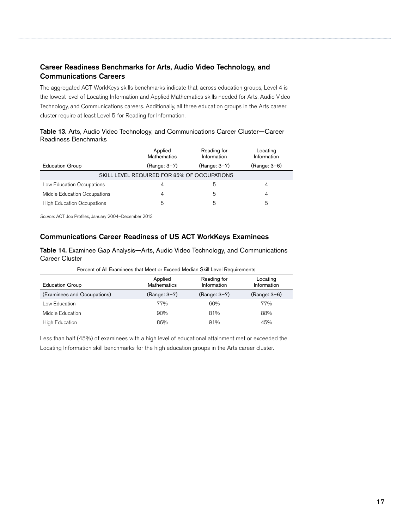## Career Readiness Benchmarks for Arts, Audio Video Technology, and Communications Careers

The aggregated ACT WorkKeys skills benchmarks indicate that, across education groups, Level 4 is the lowest level of Locating Information and Applied Mathematics skills needed for Arts, Audio Video Technology, and Communications careers. Additionally, all three education groups in the Arts career cluster require at least Level 5 for Reading for Information.

| Table 13. Arts, Audio Video Technology, and Communications Career Cluster-Career |  |  |  |  |
|----------------------------------------------------------------------------------|--|--|--|--|
| Readiness Benchmarks                                                             |  |  |  |  |

|                                             | Applied<br><b>Mathematics</b> | Reading for<br>Locating<br>Information<br>Information |              |  |  |  |  |
|---------------------------------------------|-------------------------------|-------------------------------------------------------|--------------|--|--|--|--|
| <b>Education Group</b>                      | (Range: 3-7)                  | (Range: 3-7)                                          | (Range: 3-6) |  |  |  |  |
| SKILL LEVEL REQUIRED FOR 85% OF OCCUPATIONS |                               |                                                       |              |  |  |  |  |
| Low Education Occupations                   | 4                             | b                                                     | 4            |  |  |  |  |
| Middle Education Occupations                | 4                             | 5                                                     | 4            |  |  |  |  |
| <b>High Education Occupations</b>           | 5                             | 5                                                     | 5            |  |  |  |  |

*Source:* ACT Job Profiles, January 2004–December 2013

#### Communications Career Readiness of US ACT WorkKeys Examinees

Table 14. Examinee Gap Analysis—Arts, Audio Video Technology, and Communications Career Cluster

| Percent of All Examinees that Meet or Exceed Median Skill Level Requirements |                               |                            |                         |  |  |  |
|------------------------------------------------------------------------------|-------------------------------|----------------------------|-------------------------|--|--|--|
| <b>Education Group</b>                                                       | Applied<br><b>Mathematics</b> | Reading for<br>Information | Locating<br>Information |  |  |  |
| (Examinees and Occupations)                                                  | (Range: 3-7)                  | (Range: 3-7)               | $(Range: 3-6)$          |  |  |  |
| Low Education                                                                | 77%                           | 60%                        | 77%                     |  |  |  |
| Middle Education                                                             | 90%                           | 81%                        | 88%                     |  |  |  |
| <b>High Education</b>                                                        | 86%                           | 91%                        | 45%                     |  |  |  |

Less than half (45%) of examinees with a high level of educational attainment met or exceeded the Locating Information skill benchmarks for the high education groups in the Arts career cluster.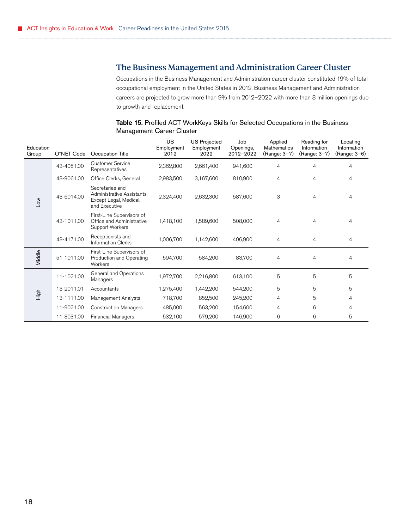## <span id="page-21-0"></span>The Business Management and Administration Career Cluster

Occupations in the Business Management and Administration career cluster constituted 19% of total occupational employment in the United States in 2012. Business Management and Administration careers are projected to grow more than 9% from 2012–2022 with more than 8 million openings due to growth and replacement.

#### Table 15. Profiled ACT WorkKeys Skills for Selected Occupations in the Business Management Career Cluster

| Education<br>Group | O*NET Code | Occupation Title                                                                         | <b>US</b><br>Employment<br>2012 | <b>US Projected</b><br>Employment<br>2022 | Job<br>Openings,<br>2012-2022 | Applied<br><b>Mathematics</b><br>(Range: 3-7) | Reading for<br>Information<br>(Range: 3-7) | Locating<br>Information<br>(Range: 3–6) |
|--------------------|------------|------------------------------------------------------------------------------------------|---------------------------------|-------------------------------------------|-------------------------------|-----------------------------------------------|--------------------------------------------|-----------------------------------------|
|                    | 43-4051.00 | <b>Customer Service</b><br>Representatives                                               | 2,362,800                       | 2,661,400                                 | 941,600                       | 4                                             | 4                                          | 4                                       |
|                    | 43-9061.00 | Office Clerks, General                                                                   | 2,983,500                       | 3,167,600                                 | 810,900                       | 4                                             | 4                                          | 4                                       |
| Low                | 43-6014.00 | Secretaries and<br>Administrative Assistants,<br>Except Legal, Medical,<br>and Executive | 2,324,400                       | 2,632,300                                 | 587,600                       | 3                                             | 4                                          | 4                                       |
|                    | 43-1011.00 | First-Line Supervisors of<br>Office and Administrative<br>Support Workers                | 1,418,100                       | 1,589,600                                 | 508,000                       | $\overline{4}$                                | 4                                          | 4                                       |
|                    | 43-4171.00 | Receptionists and<br><b>Information Clerks</b>                                           | 1,006,700                       | 1,142,600                                 | 406,900                       | $\overline{4}$                                | 4                                          | 4                                       |
| Middle             | 51-1011.00 | First-Line Supervisors of<br>Production and Operating<br>Workers                         | 594,700                         | 584,200                                   | 83,700                        | $\overline{4}$                                | 4                                          | 4                                       |
|                    | 11-1021.00 | General and Operations<br>Managers                                                       | 1,972,700                       | 2,216,800                                 | 613,100                       | 5                                             | 5                                          | 5                                       |
|                    | 13-2011.01 | Accountants                                                                              | 1,275,400                       | 1,442,200                                 | 544,200                       | 5                                             | 5                                          | 5                                       |
| High               | 13-1111.00 | Management Analysts                                                                      | 718,700                         | 852,500                                   | 245,200                       | 4                                             | 5                                          | 4                                       |
|                    | 11-9021.00 | <b>Construction Managers</b>                                                             | 485,000                         | 563,200                                   | 154,600                       | 4                                             | 6                                          | 4                                       |
|                    | 11-3031.00 | <b>Financial Managers</b>                                                                | 532,100                         | 579,200                                   | 146,900                       | 6                                             | 6                                          | 5                                       |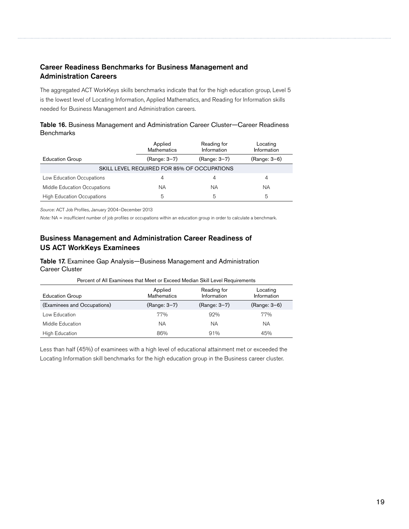## Career Readiness Benchmarks for Business Management and Administration Careers

The aggregated ACT WorkKeys skills benchmarks indicate that for the high education group, Level 5 is the lowest level of Locating Information, Applied Mathematics, and Reading for Information skills needed for Business Management and Administration careers.

| Table 16. Business Management and Administration Career Cluster-Career Readiness |  |  |  |
|----------------------------------------------------------------------------------|--|--|--|
| <b>Benchmarks</b>                                                                |  |  |  |

|                                             | Applied<br><b>Mathematics</b> | Reading for<br>Information | Locating<br>Information |  |  |
|---------------------------------------------|-------------------------------|----------------------------|-------------------------|--|--|
| <b>Education Group</b>                      | (Range: 3-7)                  | (Range: 3-7)               | (Range: 3-6)            |  |  |
| SKILL LEVEL REQUIRED FOR 85% OF OCCUPATIONS |                               |                            |                         |  |  |
| Low Education Occupations                   | 4                             | 4                          | 4                       |  |  |
| Middle Education Occupations                | ΝA                            | ΝA                         | <b>NA</b>               |  |  |
| <b>High Education Occupations</b>           | 5                             | 5                          | 5                       |  |  |

*Source:* ACT Job Profiles, January 2004–December 2013

*Note:* NA = insufficient number of job profiles or occupations within an education group in order to calculate a benchmark.

#### Business Management and Administration Career Readiness of US ACT WorkKeys Examinees

#### Table 17. Examinee Gap Analysis—Business Management and Administration Career Cluster

| Fercent of All Examinees that Meet or Exceed Median Skill Level Reduirements |                               |                            |                         |  |  |
|------------------------------------------------------------------------------|-------------------------------|----------------------------|-------------------------|--|--|
| <b>Education Group</b>                                                       | Applied<br><b>Mathematics</b> | Reading for<br>Information | Locating<br>Information |  |  |
| (Examinees and Occupations)                                                  | (Range: 3-7)                  | (Range: 3-7)               | (Range: 3-6)            |  |  |
| Low Education                                                                | 77%                           | 92%                        | 77%                     |  |  |
| Middle Education                                                             | <b>NA</b>                     | ΝA                         | ΝA                      |  |  |
| <b>High Education</b>                                                        | 86%                           | 91%                        | 45%                     |  |  |

Percent of All Examinees that Meet or Exceed Median Skill Level Requirements

Less than half (45%) of examinees with a high level of educational attainment met or exceeded the Locating Information skill benchmarks for the high education group in the Business career cluster.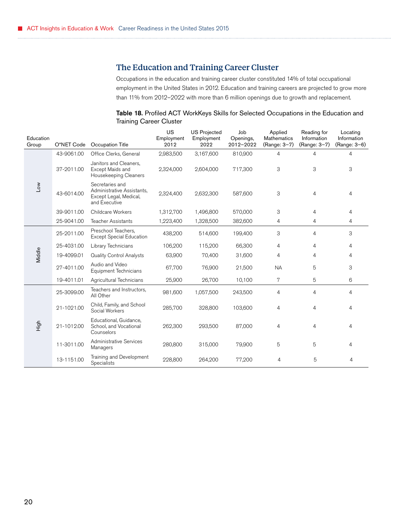## The Education and Training Career Cluster

Occupations in the education and training career cluster constituted 14% of total occupational employment in the United States in 2012. Education and training careers are projected to grow more than 11% from 2012–2022 with more than 6 million openings due to growth and replacement.

|                                | Table 18. Profiled ACT WorkKeys Skills for Selected Occupations in the Education and |  |
|--------------------------------|--------------------------------------------------------------------------------------|--|
| <b>Training Career Cluster</b> |                                                                                      |  |

<span id="page-23-0"></span>

| Education<br>Group | O*NET Code | Occupation Title                                                                         | US<br>Employment<br>2012 | <b>US Projected</b><br>Employment<br>2022 | Job<br>Openings,<br>2012-2022 | Applied<br><b>Mathematics</b><br>(Range: 3-7) | Reading for<br>Information<br>(Range: 3-7) | Locating<br>Information<br>(Range: 3-6) |
|--------------------|------------|------------------------------------------------------------------------------------------|--------------------------|-------------------------------------------|-------------------------------|-----------------------------------------------|--------------------------------------------|-----------------------------------------|
|                    | 43-9061.00 | Office Clerks, General                                                                   | 2,983,500                | 3,167,600                                 | 810,900                       | $\overline{4}$                                | 4                                          | 4                                       |
|                    | 37-2011.00 | Janitors and Cleaners,<br>Except Maids and<br>Housekeeping Cleaners                      | 2,324,000                | 2,604,000                                 | 717,300                       | 3                                             | 3                                          | 3                                       |
| <b>No7</b>         | 43-6014.00 | Secretaries and<br>Administrative Assistants,<br>Except Legal, Medical,<br>and Executive | 2,324,400                | 2,632,300                                 | 587,600                       | 3                                             | 4                                          | 4                                       |
|                    | 39-9011.00 | Childcare Workers                                                                        | 1,312,700                | 1,496,800                                 | 570,000                       | 3                                             | $\overline{4}$                             | 4                                       |
|                    | 25-9041.00 | <b>Teacher Assistants</b>                                                                | 1,223,400                | 1,328,500                                 | 382,600                       | 4                                             | 4                                          | 4                                       |
|                    | 25-2011.00 | Preschool Teachers,<br><b>Except Special Education</b>                                   | 438,200                  | 514,600                                   | 199,400                       | 3                                             | 4                                          | 3                                       |
|                    | 25-4031.00 | Library Technicians                                                                      | 106,200                  | 115,200                                   | 66,300                        | $\overline{4}$                                | 4                                          | 4                                       |
| Middle             | 19-4099.01 | <b>Quality Control Analysts</b>                                                          | 63,900                   | 70,400                                    | 31,600                        | 4                                             | 4                                          | 4                                       |
|                    | 27-4011.00 | Audio and Video<br>Equipment Technicians                                                 | 67,700                   | 76,900                                    | 21,500                        | <b>NA</b>                                     | 5                                          | 3                                       |
|                    | 19-4011.01 | Agricultural Technicians                                                                 | 25,900                   | 26,700                                    | 10,100                        | 7                                             | 5                                          | 6                                       |
|                    | 25-3099.00 | Teachers and Instructors,<br>All Other                                                   | 981,600                  | 1,057,500                                 | 243,500                       | $\overline{4}$                                | $\overline{4}$                             | 4                                       |
|                    | 21-1021.00 | Child, Family, and School<br>Social Workers                                              | 285,700                  | 328,800                                   | 103,600                       | 4                                             | 4                                          | 4                                       |
| High               | 21-1012.00 | Educational, Guidance,<br>School, and Vocational<br>Counselors                           | 262,300                  | 293,500                                   | 87,000                        | $\overline{4}$                                | 4                                          | 4                                       |
|                    | 11-3011.00 | Administrative Services<br>Managers                                                      | 280,800                  | 315,000                                   | 79,900                        | 5                                             | 5                                          | 4                                       |
|                    | 13-1151.00 | Training and Development<br>Specialists                                                  | 228,800                  | 264,200                                   | 77,200                        | 4                                             | 5                                          | 4                                       |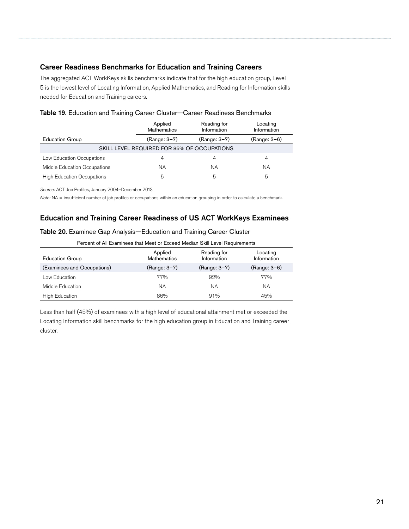#### Career Readiness Benchmarks for Education and Training Careers

The aggregated ACT WorkKeys skills benchmarks indicate that for the high education group, Level 5 is the lowest level of Locating Information, Applied Mathematics, and Reading for Information skills needed for Education and Training careers.

|                                             | Applied<br><b>Mathematics</b> | Reading for<br>Information | Locating<br>Information |  |  |
|---------------------------------------------|-------------------------------|----------------------------|-------------------------|--|--|
| <b>Education Group</b>                      | (Range: 3-7)                  | (Range: 3-7)               | (Range: 3-6)            |  |  |
| SKILL LEVEL REQUIRED FOR 85% OF OCCUPATIONS |                               |                            |                         |  |  |
| Low Education Occupations                   | 4                             |                            | 4                       |  |  |
| Middle Education Occupations                | ΝA                            | ΝA                         | ΝA                      |  |  |
| <b>High Education Occupations</b>           | 5                             | 5                          | 5                       |  |  |

*Source:* ACT Job Profiles, January 2004–December 2013

*Note:* NA = insufficient number of job profiles or occupations within an education grouping in order to calculate a benchmark.

#### Education and Training Career Readiness of US ACT WorkKeys Examinees

#### Table 20. Examinee Gap Analysis—Education and Training Career Cluster

|  |  | Percent of All Examinees that Meet or Exceed Median Skill Level Requirements |
|--|--|------------------------------------------------------------------------------|
|--|--|------------------------------------------------------------------------------|

| <b>Education Group</b>      | Applied<br><b>Mathematics</b> | Reading for<br>Information | Locating<br>Information |
|-----------------------------|-------------------------------|----------------------------|-------------------------|
| (Examinees and Occupations) | (Range: 3-7)                  | (Range: 3-7)               | $(Range: 3-6)$          |
| Low Education               | 77%                           | 92%                        | 77%                     |
| Middle Education            | ΝA                            | ΝA                         | ΝA                      |
| High Education              | 86%                           | 91%                        | 45%                     |

Less than half (45%) of examinees with a high level of educational attainment met or exceeded the Locating Information skill benchmarks for the high education group in Education and Training career cluster.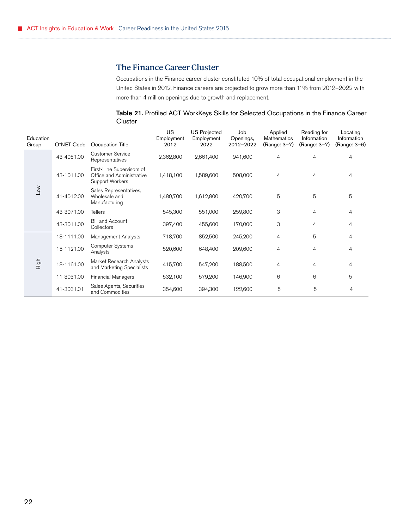## The Finance Career Cluster

Occupations in the Finance career cluster constituted 10% of total occupational employment in the United States in 2012. Finance careers are projected to grow more than 11% from 2012–2022 with more than 4 million openings due to growth and replacement.

Table 21. Profiled ACT WorkKeys Skills for Selected Occupations in the Finance Career **Cluster** 

<span id="page-25-0"></span>

| Education<br>Group | O*NET Code | Occupation Title                                                          | US<br>Employment<br>2012 | <b>US Projected</b><br>Employment<br>2022 | Job<br>Openings,<br>2012-2022 | Applied<br>Mathematics<br>(Range: 3-7) | Reading for<br>Information<br>(Range: 3-7) | Locating<br>Information<br>(Range: 3-6) |
|--------------------|------------|---------------------------------------------------------------------------|--------------------------|-------------------------------------------|-------------------------------|----------------------------------------|--------------------------------------------|-----------------------------------------|
| Low                | 43-4051.00 | <b>Customer Service</b><br>Representatives                                | 2,362,800                | 2,661,400                                 | 941,600                       | 4                                      | 4                                          | 4                                       |
|                    | 43-1011.00 | First-Line Supervisors of<br>Office and Administrative<br>Support Workers | 1,418,100                | 1,589,600                                 | 508,000                       | 4                                      | 4                                          | 4                                       |
|                    | 41-4012.00 | Sales Representatives,<br>Wholesale and<br>Manufacturing                  | 1,480,700                | 1,612,800                                 | 420,700                       | 5                                      | 5                                          | 5                                       |
|                    | 43-3071.00 | <b>Tellers</b>                                                            | 545,300                  | 551,000                                   | 259,800                       | 3                                      | 4                                          | $\overline{4}$                          |
|                    | 43-3011.00 | <b>Bill and Account</b><br>Collectors                                     | 397,400                  | 455,600                                   | 170,000                       | 3                                      | 4                                          | $\overline{4}$                          |
|                    | 13-1111.00 | Management Analysts                                                       | 718,700                  | 852,500                                   | 245,200                       | $\overline{4}$                         | 5                                          | $\overline{4}$                          |
| High               | 15-1121.00 | <b>Computer Systems</b><br>Analysts                                       | 520,600                  | 648,400                                   | 209,600                       | 4                                      | 4                                          | 4                                       |
|                    | 13-1161.00 | Market Research Analysts<br>and Marketing Specialists                     | 415,700                  | 547,200                                   | 188,500                       | 4                                      | 4                                          | 4                                       |
|                    | 11-3031.00 | <b>Financial Managers</b>                                                 | 532,100                  | 579,200                                   | 146,900                       | 6                                      | 6                                          | 5                                       |
|                    | 41-3031.01 | Sales Agents, Securities<br>and Commodities                               | 354,600                  | 394,300                                   | 122,600                       | 5                                      | 5                                          | 4                                       |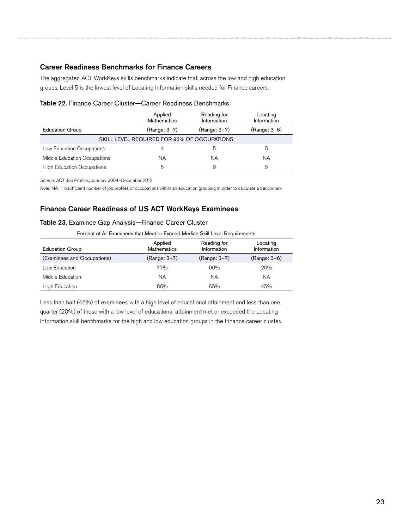#### Career Readiness Benchmarks for Finance Careers

The aggregated ACT WorkKeys skills benchmarks indicate that, across the low and high education groups, Level 5 is the lowest level of Locating Information skills needed for Finance careers.

|                                             | Applied<br><b>Mathematics</b> | Reading for<br>Information | Locating<br>Information |  |  |
|---------------------------------------------|-------------------------------|----------------------------|-------------------------|--|--|
| <b>Education Group</b>                      | (Range: 3-7)                  | (Range: 3-7)               | (Range: 3-6)            |  |  |
| SKILL LEVEL REQUIRED FOR 85% OF OCCUPATIONS |                               |                            |                         |  |  |
| Low Education Occupations                   | 4                             | 5                          | 5                       |  |  |
| Middle Education Occupations                | ΝA                            | ΝA                         | ΝA                      |  |  |
| <b>High Education Occupations</b>           | 5                             | 6                          | 5                       |  |  |

#### Table 22. Finance Career Cluster—Career Readiness Benchmarks

*Source:* ACT Job Profiles, January 2004–December 2013

*Note:* NA = insufficient number of job profiles or occupations within an education grouping in order to calculate a benchmark

#### Finance Career Readiness of US ACT WorkKeys Examinees

#### Table 23. Examinee Gap Analysis—Finance Career Cluster

| Percent of All Examinees that Meet or Exceed Median Skill Level Requirements |                               |                            |                         |  |  |
|------------------------------------------------------------------------------|-------------------------------|----------------------------|-------------------------|--|--|
| <b>Education Group</b>                                                       | Applied<br><b>Mathematics</b> | Reading for<br>Information | Locating<br>Information |  |  |
| (Examinees and Occupations)                                                  | (Range: 3-7)                  | (Range: 3-7)               | $(Range: 3-6)$          |  |  |
| Low Education                                                                | 77%                           | 60%                        | 20%                     |  |  |
| Middle Education                                                             | ΝA                            | ΝA                         | ΝA                      |  |  |

Less than half (45%) of examinees with a high level of educational attainment and less than one quarter (20%) of those with a low level of educational attainment met or exceeded the Locating Information skill benchmarks for the high and low education groups in the Finance career cluster.

High Education **65%** 65% 65% 65% 45%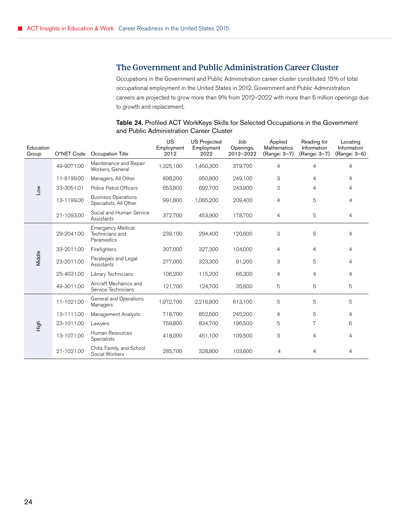## <span id="page-27-0"></span>The Government and Public Administration Career Cluster

Occupations in the Government and Public Administration career cluster constituted 15% of total occupational employment in the United States in 2012. Government and Public Administration careers are projected to grow more than 9% from 2012–2022 with more than 6 million openings due to growth and replacement.

| Education<br>Group | O*NET Code | Occupation Title                                          | US<br>Employment<br>2012 | <b>US Projected</b><br>Employment<br>2022 | Job<br>Openings,<br>2012-2022 | Applied<br><b>Mathematics</b><br>(Range: 3-7) | Reading for<br>Information<br>(Range: 3-7) | Locating<br>Information<br>(Range: 3-6) |
|--------------------|------------|-----------------------------------------------------------|--------------------------|-------------------------------------------|-------------------------------|-----------------------------------------------|--------------------------------------------|-----------------------------------------|
|                    | 49-9071.00 | Maintenance and Repair<br>Workers, General                | 1,325,100                | 1,450,300                                 | 379,700                       | 4                                             | 4                                          | 4                                       |
|                    | 11-9199.00 | Managers, All Other                                       | 898,200                  | 950,800                                   | 249,100                       | 3                                             | 4                                          | 4                                       |
| Μ٥Π                | 33-3051.01 | <b>Police Patrol Officers</b>                             | 653,800                  | 692,700                                   | 243,900                       | 3                                             | 4                                          | 4                                       |
|                    | 13-1199.00 | <b>Business Operations</b><br>Specialists, All Other      | 991,800                  | 1,065,200                                 | 209,400                       | $\overline{4}$                                | 5                                          | 4                                       |
|                    | 21-1093.00 | Social and Human Service<br>Assistants                    | 372,700                  | 453,900                                   | 178,700                       | 4                                             | 5                                          | 4                                       |
| Middle             | 29-2041.00 | <b>Emergency Medical</b><br>Technicians and<br>Paramedics | 239,100                  | 294,400                                   | 120,600                       | 3                                             | 5                                          | 4                                       |
|                    | 33-2011.00 | Firefighters                                              | 307,000                  | 327,300                                   | 104,000                       | $\overline{4}$                                | 4                                          | 4                                       |
|                    | 23-2011.00 | Paralegals and Legal<br>Assistants                        | 277,000                  | 323,300                                   | 91,200                        | 3                                             | 5                                          | 4                                       |
|                    | 25-4031.00 | Library Technicians                                       | 106,200                  | 115,200                                   | 66,300                        | $\overline{4}$                                | 4                                          | 4                                       |
|                    | 49-3011.00 | Aircraft Mechanics and<br>Service Technicians             | 121,700                  | 124,700                                   | 35,600                        | 5                                             | 5                                          | 5                                       |
|                    | 11-1021.00 | General and Operations<br>Managers                        | 1,972,700                | 2,216,800                                 | 613,100                       | 5                                             | 5                                          | 5                                       |
|                    | 13-1111.00 | Management Analysts                                       | 718,700                  | 852,500                                   | 245,200                       | 4                                             | 5                                          | 4                                       |
| High               | 23-1011.00 | Lawyers                                                   | 759,800                  | 834,700                                   | 196,500                       | 5                                             | 7                                          | 6                                       |
|                    | 13-1071.00 | Human Resources<br>Specialists                            | 418,000                  | 451,100                                   | 109,500                       | 3                                             | 4                                          | 4                                       |
|                    | 21-1021.00 | Child, Family, and School<br>Social Workers               | 285,700                  | 328,800                                   | 103,600                       | 4                                             | 4                                          | 4                                       |

#### Table 24. Profiled ACT WorkKeys Skills for Selected Occupations in the Government and Public Administration Career Cluster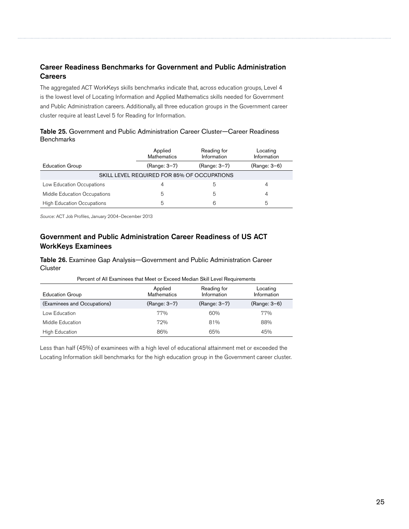## Career Readiness Benchmarks for Government and Public Administration **Careers**

The aggregated ACT WorkKeys skills benchmarks indicate that, across education groups, Level 4 is the lowest level of Locating Information and Applied Mathematics skills needed for Government and Public Administration careers. Additionally, all three education groups in the Government career cluster require at least Level 5 for Reading for Information.

#### Table 25. Government and Public Administration Career Cluster—Career Readiness **Benchmarks**

|                                             | Applied<br><b>Mathematics</b> | Reading for<br>Information | Locating<br>Information |  |  |
|---------------------------------------------|-------------------------------|----------------------------|-------------------------|--|--|
| <b>Education Group</b>                      | (Range: 3-7)                  | (Range: 3-7)               | (Range: 3–6)            |  |  |
| SKILL LEVEL REQUIRED FOR 85% OF OCCUPATIONS |                               |                            |                         |  |  |
| Low Education Occupations                   | 4                             | b                          | 4                       |  |  |
| Middle Education Occupations                | 5                             | 5                          | 4                       |  |  |
| <b>High Education Occupations</b>           | 5                             | 6                          | 5                       |  |  |

*Source:* ACT Job Profiles, January 2004–December 2013

## Government and Public Administration Career Readiness of US ACT WorkKeys Examinees

Table 26. Examinee Gap Analysis—Government and Public Administration Career **Cluster** 

| Percent of All Examinees that Meet or Exceed Median Skill Level Requirements |                               |                            |                         |  |  |  |
|------------------------------------------------------------------------------|-------------------------------|----------------------------|-------------------------|--|--|--|
| <b>Education Group</b>                                                       | Applied<br><b>Mathematics</b> | Reading for<br>Information | Locating<br>Information |  |  |  |
| (Examinees and Occupations)                                                  | (Range: 3-7)                  | (Range: 3-7)               | (Range: 3-6)            |  |  |  |
| Low Education                                                                | 77%                           | 60%                        | 77%                     |  |  |  |
| Middle Education                                                             | 72%                           | 81%                        | 88%                     |  |  |  |
| <b>High Education</b>                                                        | 86%                           | 65%                        | 45%                     |  |  |  |

Less than half (45%) of examinees with a high level of educational attainment met or exceeded the Locating Information skill benchmarks for the high education group in the Government career cluster.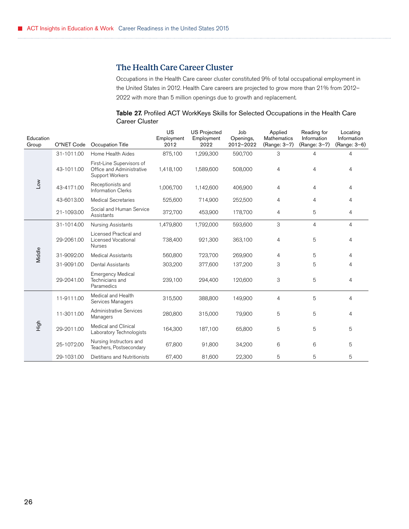## The Health Care Career Cluster

Occupations in the Health Care career cluster constituted 9% of total occupational employment in the United States in 2012. Health Care careers are projected to grow more than 21% from 2012– 2022 with more than 5 million openings due to growth and replacement.

| Table 27. Profiled ACT WorkKeys Skills for Selected Occupations in the Health Care |  |  |
|------------------------------------------------------------------------------------|--|--|
| Career Cluster                                                                     |  |  |

<span id="page-29-0"></span>

| Education<br>Group | O*NET Code | Occupation Title                                                          | US<br>Employment<br>2012 | <b>US Projected</b><br>Employment<br>2022 | Job<br>Openings,<br>2012-2022 | Applied<br><b>Mathematics</b><br>(Range: 3-7) | Reading for<br>Information<br>(Range: 3-7) | Locating<br>Information<br>(Range: 3-6) |
|--------------------|------------|---------------------------------------------------------------------------|--------------------------|-------------------------------------------|-------------------------------|-----------------------------------------------|--------------------------------------------|-----------------------------------------|
|                    | 31-1011.00 | Home Health Aides                                                         | 875,100                  | 1,299,300                                 | 590,700                       | 3                                             | 4                                          | 4                                       |
|                    | 43-1011.00 | First-Line Supervisors of<br>Office and Administrative<br>Support Workers | 1,418,100                | 1,589,600                                 | 508,000                       | 4                                             | 4                                          | 4                                       |
| Low                | 43-4171.00 | Receptionists and<br><b>Information Clerks</b>                            | 1,006,700                | 1,142,600                                 | 406,900                       | $\overline{4}$                                | 4                                          | 4                                       |
|                    | 43-6013.00 | <b>Medical Secretaries</b>                                                | 525,600                  | 714,900                                   | 252,500                       | 4                                             | 4                                          | 4                                       |
|                    | 21-1093.00 | Social and Human Service<br>Assistants                                    | 372,700                  | 453,900                                   | 178,700                       | 4                                             | 5                                          | 4                                       |
|                    | 31-1014.00 | Nursing Assistants                                                        | 1,479,800                | 1,792,000                                 | 593,600                       | 3                                             | $\overline{4}$                             | $\overline{4}$                          |
|                    | 29-2061.00 | Licensed Practical and<br>Licensed Vocational<br><b>Nurses</b>            | 738,400                  | 921,300                                   | 363,100                       | 4                                             | 5                                          | 4                                       |
| Middle             | 31-9092.00 | <b>Medical Assistants</b>                                                 | 560,800                  | 723,700                                   | 269,900                       | 4                                             | 5                                          | 4                                       |
|                    | 31-9091.00 | <b>Dental Assistants</b>                                                  | 303,200                  | 377,600                                   | 137,200                       | 3                                             | 5                                          | 4                                       |
|                    | 29-2041.00 | <b>Emergency Medical</b><br>Technicians and<br>Paramedics                 | 239,100                  | 294,400                                   | 120,600                       | 3                                             | 5                                          | 4                                       |
|                    | 11-9111.00 | Medical and Health<br>Services Managers                                   | 315,500                  | 388,800                                   | 149,900                       | 4                                             | 5                                          | 4                                       |
|                    | 11-3011.00 | <b>Administrative Services</b><br>Managers                                | 280,800                  | 315,000                                   | 79,900                        | 5                                             | 5                                          | 4                                       |
| High               | 29-2011.00 | Medical and Clinical<br>Laboratory Technologists                          | 164,300                  | 187,100                                   | 65,800                        | 5                                             | 5                                          | 5                                       |
|                    | 25-1072.00 | Nursing Instructors and<br>Teachers, Postsecondary                        | 67,800                   | 91,800                                    | 34,200                        | 6                                             | 6                                          | 5                                       |
|                    | 29-1031.00 | Dietitians and Nutritionists                                              | 67,400                   | 81,600                                    | 22,300                        | 5                                             | 5                                          | 5                                       |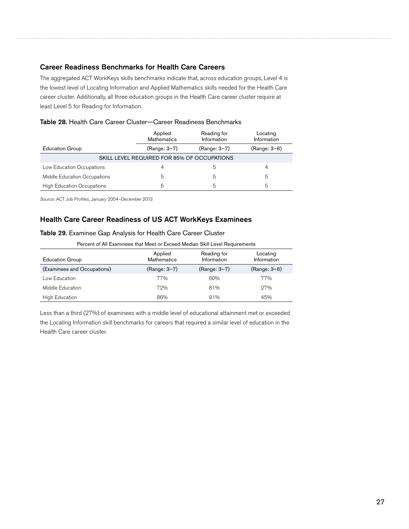#### Career Readiness Benchmarks for Health Care Careers

The aggregated ACT WorkKeys skills benchmarks indicate that, across education groups, Level 4 is the lowest level of Locating Information and Applied Mathematics skills needed for the Health Care career cluster. Additionally, all three education groups in the Health Care career cluster require at least Level 5 for Reading for Information.

| Table 28. Health Care Career Cluster-Career Readiness Benchmarks |
|------------------------------------------------------------------|
|------------------------------------------------------------------|

|                                   | Applied<br><b>Mathematics</b>               | Reading for<br>Information | Locating<br>Information |
|-----------------------------------|---------------------------------------------|----------------------------|-------------------------|
| <b>Education Group</b>            | (Range: 3-7)                                | (Range: 3-7)               | (Range: 3-6)            |
|                                   | SKILL LEVEL REQUIRED FOR 85% OF OCCUPATIONS |                            |                         |
| Low Education Occupations         | 4                                           |                            | 4                       |
| Middle Education Occupations      | 5                                           | 5                          | 5                       |
| <b>High Education Occupations</b> | 5                                           | 5                          | 5                       |

*Source:* ACT Job Profiles, January 2004–December 2013

#### Health Care Career Readiness of US ACT WorkKeys Examinees

#### Table 29. Examinee Gap Analysis for Health Care Career Cluster

Percent of All Examinees that Meet or Exceed Median Skill Level Requirements

| <b>Education Group</b>      | Applied<br><b>Mathematics</b> | Reading for<br>Information | Locating<br>Information |
|-----------------------------|-------------------------------|----------------------------|-------------------------|
| (Examinees and Occupations) | (Range: 3-7)                  | (Range: 3-7)               | (Range: 3-6)            |
| Low Education               | 77%                           | 60%                        | 77%                     |
| Middle Education            | 72%                           | 81%                        | 27%                     |
| <b>High Education</b>       | 86%                           | 91%                        | 45%                     |

Less than a third (27%) of examinees with a middle level of educational attainment met or exceeded the Locating Information skill benchmarks for careers that required a similar level of education in the Health Care career cluster.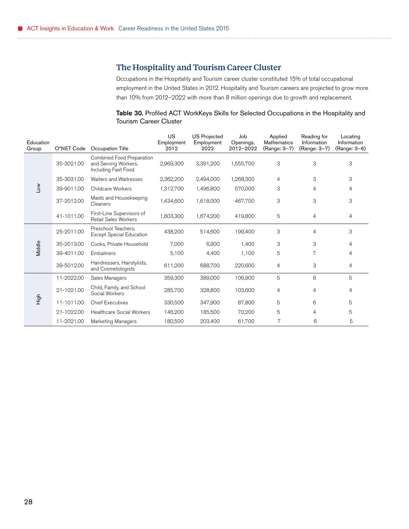## <span id="page-31-0"></span>The Hospitality and Tourism Career Cluster

Occupations in the Hospitality and Tourism career cluster constituted 15% of total occupational employment in the United States in 2012. Hospitality and Tourism careers are projected to grow more than 10% from 2012–2022 with more than 8 million openings due to growth and replacement.

#### Table 30. Profiled ACT WorkKeys Skills for Selected Occupations in the Hospitality and Tourism Career Cluster

| Education<br>Group | O*NET Code | Occupation Title                                                         | <b>US</b><br>Employment<br>2012 | <b>US Projected</b><br>Employment<br>2022 | Job<br>Openings,<br>2012-2022 | Applied<br>Mathematics<br>(Range: 3-7) | Reading for<br>Information<br>(Range: 3-7) | Locating<br>Information<br>(Range: 3-6) |
|--------------------|------------|--------------------------------------------------------------------------|---------------------------------|-------------------------------------------|-------------------------------|----------------------------------------|--------------------------------------------|-----------------------------------------|
|                    | 35-3021.00 | Combined Food Preparation<br>and Serving Workers,<br>Including Fast Food | 2,969,300                       | 3,391,200                                 | 1,555,700                     | 3                                      | 3                                          | 3                                       |
|                    | 35-3031.00 | <b>Waiters and Waitresses</b>                                            | 2,362,200                       | 2,494,000                                 | 1,268,300                     | 4                                      | 3                                          | 3                                       |
| Low                | 39-9011.00 | <b>Childcare Workers</b>                                                 | 1,312,700                       | 1,496,800                                 | 570,000                       | 3                                      | 4                                          | 4                                       |
|                    | 37-2012.00 | Maids and Housekeeping<br>Cleaners                                       | 1,434,600                       | 1,618,000                                 | 467,700                       | 3                                      | 3                                          | 3                                       |
|                    | 41-1011.00 | First-Line Supervisors of<br>Retail Sales Workers                        | 1,603,300                       | 1,674,200                                 | 419,800                       | 5                                      | 4                                          | 4                                       |
|                    | 25-2011.00 | Preschool Teachers,<br><b>Except Special Education</b>                   | 438,200                         | 514,600                                   | 199,400                       | 3                                      | 4                                          | 3                                       |
| Middle             | 35-2013.00 | Cooks, Private Household                                                 | 7,000                           | 6,900                                     | 1,400                         | 3                                      | 3                                          | 4                                       |
|                    | 39-4011.00 | Embalmers                                                                | 5,100                           | 4,400                                     | 1,100                         | 5                                      | 7                                          | 4                                       |
|                    | 39-5012.00 | Hairdressers, Hairstylists,<br>and Cosmetologists                        | 611,200                         | 688,700                                   | 220,600                       | 4                                      | 3                                          | 4                                       |
|                    | 11-2022.00 | Sales Managers                                                           | 359,300                         | 389,000                                   | 106,900                       | 5                                      | 6                                          | 5                                       |
|                    | 21-1021.00 | Child, Family, and School<br>Social Workers                              | 285,700                         | 328,800                                   | 103,600                       | 4                                      | 4                                          | 4                                       |
| High               | 11-1011.00 | <b>Chief Executives</b>                                                  | 330,500                         | 347,900                                   | 87,800                        | 5                                      | 6                                          | 5                                       |
|                    | 21-1022.00 | <b>Healthcare Social Workers</b>                                         | 146,200                         | 185,500                                   | 70,200                        | 5                                      | 4                                          | 5                                       |
|                    | 11-2021.00 | <b>Marketing Managers</b>                                                | 180,500                         | 203,400                                   | 61,700                        | 7                                      | 6                                          | 5                                       |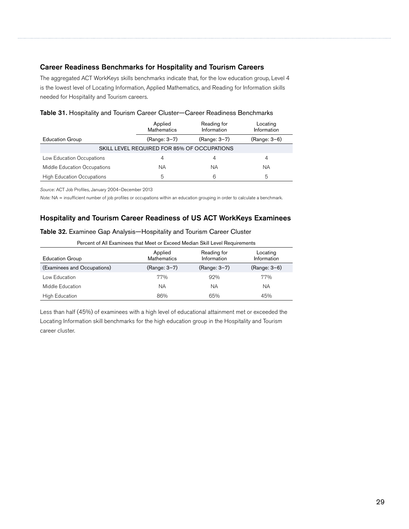#### Career Readiness Benchmarks for Hospitality and Tourism Careers

The aggregated ACT WorkKeys skills benchmarks indicate that, for the low education group, Level 4 is the lowest level of Locating Information, Applied Mathematics, and Reading for Information skills needed for Hospitality and Tourism careers.

|                                   | Applied<br><b>Mathematics</b>               | Reading for<br>Information | Locating<br>Information |
|-----------------------------------|---------------------------------------------|----------------------------|-------------------------|
| <b>Education Group</b>            | (Range: 3-7)                                | (Range: 3-7)               | (Range: 3-6)            |
|                                   | SKILL LEVEL REQUIRED FOR 85% OF OCCUPATIONS |                            |                         |
| Low Education Occupations         | 4                                           |                            | 4                       |
| Middle Education Occupations      | NA.                                         | ΝA                         | ΝA                      |
| <b>High Education Occupations</b> | 5                                           | 6                          | 5                       |

*Source:* ACT Job Profiles, January 2004–December 2013

*Note:* NA = insufficient number of job profiles or occupations within an education grouping in order to calculate a benchmark.

#### Hospitality and Tourism Career Readiness of US ACT WorkKeys Examinees

#### Table 32. Examinee Gap Analysis—Hospitality and Tourism Career Cluster

| Percent of All Examinees that Meet or Exceed Median Skill Level Requirements |  |
|------------------------------------------------------------------------------|--|
|------------------------------------------------------------------------------|--|

| <b>Education Group</b>      | Applied<br><b>Mathematics</b> | Reading for<br>Information | Locating<br>Information |
|-----------------------------|-------------------------------|----------------------------|-------------------------|
| (Examinees and Occupations) | (Range: 3-7)                  | (Range: 3-7)               | (Range: 3-6)            |
| Low Education               | 77%                           | 92%                        | 77%                     |
| Middle Education            | ΝA                            | ΝA                         | ΝA                      |
| High Education              | 86%                           | 65%                        | 45%                     |

Less than half (45%) of examinees with a high level of educational attainment met or exceeded the Locating Information skill benchmarks for the high education group in the Hospitality and Tourism career cluster.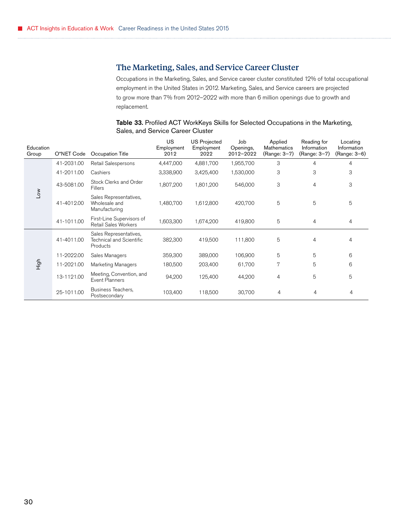## <span id="page-33-0"></span>The Marketing, Sales, and Service Career Cluster

Occupations in the Marketing, Sales, and Service career cluster constituted 12% of total occupational employment in the United States in 2012. Marketing, Sales, and Service careers are projected to grow more than 7% from 2012–2022 with more than 6 million openings due to growth and replacement.

#### Table 33. Profiled ACT WorkKeys Skills for Selected Occupations in the Marketing, Sales, and Service Career Cluster

| Education<br>Group | O*NET Code | Occupation Title                                               | US<br>Employment<br>2012 | <b>US Projected</b><br>Employment<br>2022 | Job<br>Openings,<br>2012-2022 | Applied<br>Mathematics<br>(Range: 3-7) | Reading for<br>Information<br>(Range: 3-7) | Locating<br>Information<br>(Range: 3-6) |
|--------------------|------------|----------------------------------------------------------------|--------------------------|-------------------------------------------|-------------------------------|----------------------------------------|--------------------------------------------|-----------------------------------------|
|                    | 41-2031.00 | Retail Salespersons                                            | 4,447,000                | 4,881,700                                 | 1,955,700                     | 3                                      | 4                                          | 4                                       |
|                    | 41-2011.00 | Cashiers                                                       | 3,338,900                | 3,425,400                                 | 1,530,000                     | 3                                      | 3                                          | 3                                       |
|                    | 43-5081.00 | Stock Clerks and Order<br><b>Fillers</b>                       | 1,807,200                | 1,801,200                                 | 546,000                       | 3                                      | 4                                          | 3                                       |
| Low                | 41-4012.00 | Sales Representatives,<br>Wholesale and<br>Manufacturing       | 1,480,700                | 1,612,800                                 | 420,700                       | 5                                      | 5                                          | 5                                       |
|                    | 41-1011.00 | First-Line Supervisors of<br><b>Retail Sales Workers</b>       | 1,603,300                | 1,674,200                                 | 419,800                       | 5                                      | 4                                          | 4                                       |
|                    | 41-4011.00 | Sales Representatives,<br>Technical and Scientific<br>Products | 382,300                  | 419,500                                   | 111,800                       | 5                                      | 4                                          | 4                                       |
|                    | 11-2022.00 | Sales Managers                                                 | 359,300                  | 389,000                                   | 106,900                       | 5                                      | 5                                          | 6                                       |
| High               | 11-2021.00 | Marketing Managers                                             | 180,500                  | 203,400                                   | 61,700                        | 7                                      | 5                                          | 6                                       |
|                    | 13-1121.00 | Meeting, Convention, and<br><b>Event Planners</b>              | 94,200                   | 125,400                                   | 44,200                        | $\overline{4}$                         | 5                                          | 5                                       |
|                    | 25-1011.00 | Business Teachers,<br>Postsecondary                            | 103,400                  | 118,500                                   | 30,700                        | 4                                      | 4                                          | 4                                       |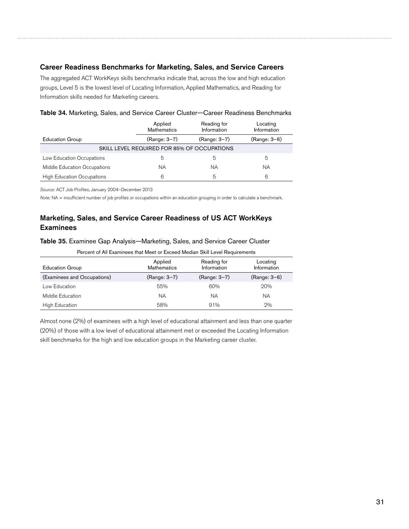#### Career Readiness Benchmarks for Marketing, Sales, and Service Careers

The aggregated ACT WorkKeys skills benchmarks indicate that, across the low and high education groups, Level 5 is the lowest level of Locating Information, Applied Mathematics, and Reading for Information skills needed for Marketing careers.

|                                   | Reading for<br>Applied<br><b>Mathematics</b><br>Information |              | Locating<br>Information |
|-----------------------------------|-------------------------------------------------------------|--------------|-------------------------|
| <b>Education Group</b>            | (Range: 3-7)                                                | (Range: 3-7) | (Range: 3-6)            |
|                                   | SKILL LEVEL REQUIRED FOR 85% OF OCCUPATIONS                 |              |                         |
| Low Education Occupations         | 5                                                           | b            | 5                       |
| Middle Education Occupations      | ΝA                                                          | ΝA           | ΝA                      |
| <b>High Education Occupations</b> | 6                                                           | 5            | 6                       |

| Table 34. Marketing, Sales, and Service Career Cluster-Career Readiness Benchmarks |  |  |  |  |  |  |  |
|------------------------------------------------------------------------------------|--|--|--|--|--|--|--|
|------------------------------------------------------------------------------------|--|--|--|--|--|--|--|

*Source:* ACT Job Profiles, January 2004–December 2013

*Note:* NA = insufficient number of job profiles or occupations within an education grouping in order to calculate a benchmark.

## Marketing, Sales, and Service Career Readiness of US ACT WorkKeys **Examinees**

#### Table 35. Examinee Gap Analysis—Marketing, Sales, and Service Career Cluster

Percent of All Examinees that Meet or Exceed Median Skill Level Requirements

| <b>Education Group</b>      | Applied<br><b>Mathematics</b> | Reading for<br>Information | Locating<br>Information |
|-----------------------------|-------------------------------|----------------------------|-------------------------|
| (Examinees and Occupations) | (Range: 3-7)                  | (Range: 3-7)               | (Range: 3-6)            |
| Low Education               | 55%                           | 60%                        | 20%                     |
| Middle Education            | ΝA                            | ΝA                         | ΝA                      |
| High Education              | 58%                           | 91%                        | 2%                      |

Almost none (2%) of examinees with a high level of educational attainment and less than one quarter (20%) of those with a low level of educational attainment met or exceeded the Locating Information skill benchmarks for the high and low education groups in the Marketing career cluster.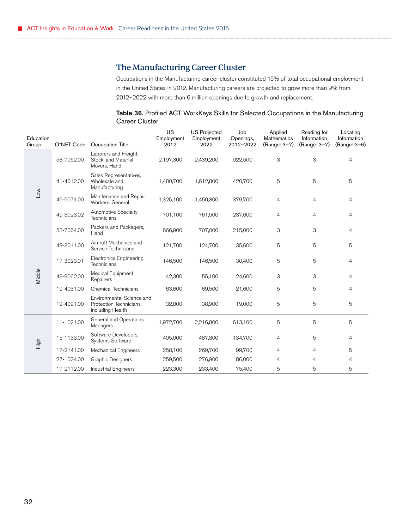## The Manufacturing Career Cluster

Occupations in the Manufacturing career cluster constituted 15% of total occupational employment in the United States in 2012. Manufacturing careers are projected to grow more than 9% from 2012–2022 with more than 6 million openings due to growth and replacement.

| Table 36. Profiled ACT WorkKeys Skills for Selected Occupations in the Manufacturing |  |  |
|--------------------------------------------------------------------------------------|--|--|
| <b>Career Cluster</b>                                                                |  |  |

<span id="page-35-0"></span>

| Education |            |                                                                          | US<br>Employment | <b>US Projected</b><br>Employment | Job<br>Openings, | Applied<br><b>Mathematics</b> | Reading for<br>Information | Locating<br>Information |
|-----------|------------|--------------------------------------------------------------------------|------------------|-----------------------------------|------------------|-------------------------------|----------------------------|-------------------------|
| Group     | O*NET Code | Occupation Title                                                         | 2012             | 2022                              | 2012-2022        | (Range: 3-7)                  | (Range: 3-7)               | (Range: 3-6)            |
|           | 53-7062.00 | Laborers and Freight,<br>Stock, and Material<br>Movers, Hand             | 2,197,300        | 2,439,200                         | 922,500          | 3                             | 3                          | $\overline{4}$          |
|           | 41-4012.00 | Sales Representatives,<br>Wholesale and<br>Manufacturing                 | 1,480,700        | 1,612,800                         | 420,700          | 5                             | 5                          | 5                       |
| Low       | 49-9071.00 | Maintenance and Repair<br>Workers, General                               | 1,325,100        | 1,450,300                         | 379,700          | 4                             | 4                          | 4                       |
|           | 49-3023.02 | <b>Automotive Specialty</b><br>Technicians                               | 701,100          | 761,500                           | 237,600          | 4                             | 4                          | 4                       |
|           | 53-7064.00 | Packers and Packagers,<br>Hand                                           | 666,900          | 707,000                           | 215,000          | 3                             | 3                          | $\overline{4}$          |
|           | 49-3011.00 | Aircraft Mechanics and<br>Service Technicians                            | 121,700          | 124,700                           | 35,600           | 5                             | 5                          | 5                       |
|           | 17-3023.01 | <b>Electronics Engineering</b><br>Technicians                            | 146,500          | 146,500                           | 30,400           | 5                             | 5                          | 4                       |
| Middle    | 49-9062.00 | Medical Equipment<br>Repairers                                           | 42,300           | 55,100                            | 24,600           | 3                             | 3                          | 4                       |
|           | 19-4031.00 | Chemical Technicians                                                     | 63,600           | 69,500                            | 21,600           | 5                             | 5                          | 4                       |
|           | 19-4091.00 | Environmental Science and<br>Protection Technicians,<br>Including Health | 32,800           | 38,900                            | 19,000           | 5                             | 5                          | 5                       |
|           | 11-1021.00 | General and Operations<br>Managers                                       | 1,972,700        | 2,216,800                         | 613,100          | 5                             | 5                          | 5                       |
| High      | 15-1133.00 | Software Developers,<br>Systems Software                                 | 405,000          | 487,800                           | 134,700          | 4                             | 5                          | 4                       |
|           | 17-2141.00 | Mechanical Engineers                                                     | 258,100          | 269,700                           | 99,700           | 4                             | 4                          | 5                       |
|           | 27-1024.00 | <b>Graphic Designers</b>                                                 | 259,500          | 276,900                           | 86,000           | 4                             | 4                          | 4                       |
|           | 17-2112.00 | <b>Industrial Engineers</b>                                              | 223,300          | 233,400                           | 75,400           | 5                             | 5                          | 5                       |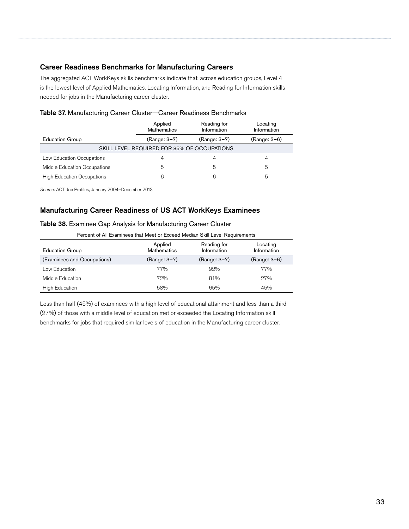#### Career Readiness Benchmarks for Manufacturing Careers

The aggregated ACT WorkKeys skills benchmarks indicate that, across education groups, Level 4 is the lowest level of Applied Mathematics, Locating Information, and Reading for Information skills needed for jobs in the Manufacturing career cluster.

|                                   | Applied<br>Reading for<br>Information<br><b>Mathematics</b> |              | Locating<br>Information |
|-----------------------------------|-------------------------------------------------------------|--------------|-------------------------|
| <b>Education Group</b>            | (Range: 3-7)                                                | (Range: 3-7) | (Range: 3-6)            |
|                                   | SKILL LEVEL REQUIRED FOR 85% OF OCCUPATIONS                 |              |                         |
| Low Education Occupations         | 4                                                           |              | 4                       |
| Middle Education Occupations      | 5                                                           | 5            | 5                       |
| <b>High Education Occupations</b> | 6                                                           | 6            | 5                       |

| Table 37. Manufacturing Career Cluster-Career Readiness Benchmarks |  |  |
|--------------------------------------------------------------------|--|--|
|--------------------------------------------------------------------|--|--|

*Source:* ACT Job Profiles, January 2004–December 2013

#### Manufacturing Career Readiness of US ACT WorkKeys Examinees

#### Table 38. Examinee Gap Analysis for Manufacturing Career Cluster

| Percent of All Examinees that Meet or Exceed Median Skill Level Requirements |                               |                            |                         |  |  |  |
|------------------------------------------------------------------------------|-------------------------------|----------------------------|-------------------------|--|--|--|
| <b>Education Group</b>                                                       | Applied<br><b>Mathematics</b> | Reading for<br>Information | Locating<br>Information |  |  |  |
| (Examinees and Occupations)                                                  | (Range: 3-7)                  | (Range: 3-7)               | (Range: 3-6)            |  |  |  |
| Low Education                                                                | 77%                           | 92%                        | 77%                     |  |  |  |
| Middle Education                                                             | 72%                           | 81%                        | 27%                     |  |  |  |
| <b>High Education</b>                                                        | 58%                           | 65%                        | 45%                     |  |  |  |

Less than half (45%) of examinees with a high level of educational attainment and less than a third (27%) of those with a middle level of education met or exceeded the Locating Information skill benchmarks for jobs that required similar levels of education in the Manufacturing career cluster.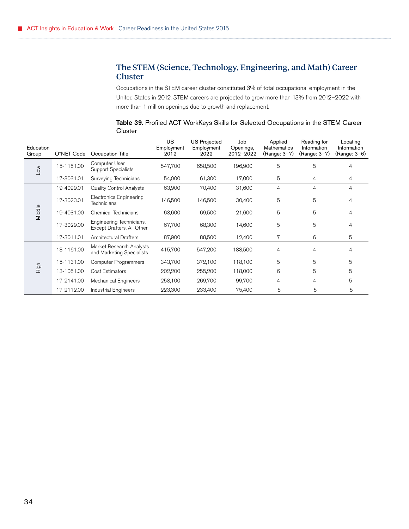## <span id="page-37-0"></span>The STEM (Science, Technology, Engineering, and Math) Career Cluster

Occupations in the STEM career cluster constituted 3% of total occupational employment in the United States in 2012. STEM careers are projected to grow more than 13% from 2012–2022 with more than 1 million openings due to growth and replacement.

| Education<br>Group | O*NET Code | Occupation Title                                       | US.<br>Employment<br>2012 | <b>US Projected</b><br>Employment<br>2022 | Job<br>Openings,<br>2012-2022 | Applied<br>Mathematics<br>(Range: 3-7) | Reading for<br>Information<br>(Range: 3-7) | Locating<br>Information<br>(Range: 3–6) |
|--------------------|------------|--------------------------------------------------------|---------------------------|-------------------------------------------|-------------------------------|----------------------------------------|--------------------------------------------|-----------------------------------------|
| Low                | 15-1151.00 | Computer User<br>Support Specialists                   | 547,700                   | 658,500                                   | 196,900                       | 5                                      | 5                                          | 4                                       |
|                    | 17-3031.01 | Surveying Technicians                                  | 54,000                    | 61,300                                    | 17,000                        | 5                                      | 4                                          | 4                                       |
|                    | 19-4099.01 | <b>Quality Control Analysts</b>                        | 63,900                    | 70,400                                    | 31,600                        | 4                                      | 4                                          | $\overline{4}$                          |
|                    | 17-3023.01 | <b>Electronics Engineering</b><br>Technicians          | 146,500                   | 146,500                                   | 30,400                        | 5                                      | 5                                          | 4                                       |
| Middle             | 19-4031.00 | Chemical Technicians                                   | 63,600                    | 69,500                                    | 21,600                        | 5                                      | 5                                          | $\overline{4}$                          |
|                    | 17-3029.00 | Engineering Technicians,<br>Except Drafters, All Other | 67,700                    | 68,300                                    | 14,600                        | 5                                      | 5                                          | 4                                       |
|                    | 17-3011.01 | <b>Architectural Drafters</b>                          | 87,900                    | 88,500                                    | 12,400                        | 7                                      | 6                                          | 5                                       |
|                    | 13-1161.00 | Market Research Analysts<br>and Marketing Specialists  | 415,700                   | 547,200                                   | 188,500                       | 4                                      | 4                                          | 4                                       |
|                    | 15-1131.00 | <b>Computer Programmers</b>                            | 343,700                   | 372,100                                   | 118,100                       | 5                                      | 5                                          | 5                                       |
| High               | 13-1051.00 | Cost Estimators                                        | 202,200                   | 255,200                                   | 118,000                       | 6                                      | 5                                          | 5                                       |
|                    | 17-2141.00 | <b>Mechanical Engineers</b>                            | 258,100                   | 269,700                                   | 99,700                        | 4                                      | 4                                          | 5                                       |
|                    | 17-2112.00 | Industrial Engineers                                   | 223,300                   | 233,400                                   | 75,400                        | 5                                      | 5                                          | 5                                       |

Table 39. Profiled ACT WorkKeys Skills for Selected Occupations in the STEM Career **Cluster**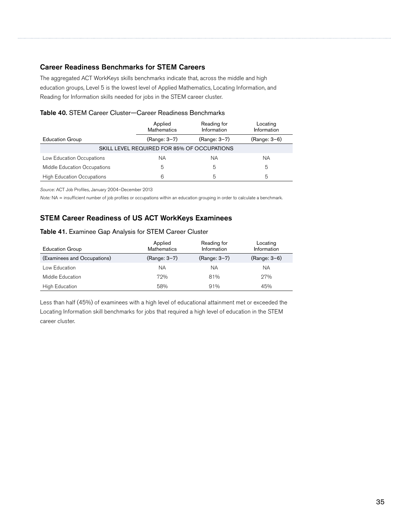#### Career Readiness Benchmarks for STEM Careers

The aggregated ACT WorkKeys skills benchmarks indicate that, across the middle and high education groups, Level 5 is the lowest level of Applied Mathematics, Locating Information, and Reading for Information skills needed for jobs in the STEM career cluster.

#### Table 40. STEM Career Cluster—Career Readiness Benchmarks

|                                   | Applied<br><b>Mathematics</b>               | Reading for<br>Information | Locating<br>Information |
|-----------------------------------|---------------------------------------------|----------------------------|-------------------------|
| <b>Education Group</b>            | (Range: 3-7)                                | (Range: 3-7)               | (Range: 3-6)            |
|                                   | SKILL LEVEL REQUIRED FOR 85% OF OCCUPATIONS |                            |                         |
| Low Education Occupations         | ΝA                                          | ΝA                         | NA.                     |
| Middle Education Occupations      | 5                                           | 5                          | 5                       |
| <b>High Education Occupations</b> | 6                                           | 5                          | 5                       |

*Source:* ACT Job Profiles, January 2004–December 2013

*Note:* NA = insufficient number of job profiles or occupations within an education grouping in order to calculate a benchmark.

## STEM Career Readiness of US ACT WorkKeys Examinees

#### Table 41. Examinee Gap Analysis for STEM Career Cluster

| <b>Education Group</b>      | Applied<br><b>Mathematics</b> | Reading for<br>Information | Locating<br>Information |
|-----------------------------|-------------------------------|----------------------------|-------------------------|
| (Examinees and Occupations) | (Range: 3-7)                  | (Range: 3-7)               | (Range: 3-6)            |
| Low Education               | ΝA                            | ΝA                         | ΝA                      |
| Middle Education            | 72%                           | 81%                        | 27%                     |
| High Education              | 58%                           | 91%                        | 45%                     |

Less than half (45%) of examinees with a high level of educational attainment met or exceeded the Locating Information skill benchmarks for jobs that required a high level of education in the STEM career cluster.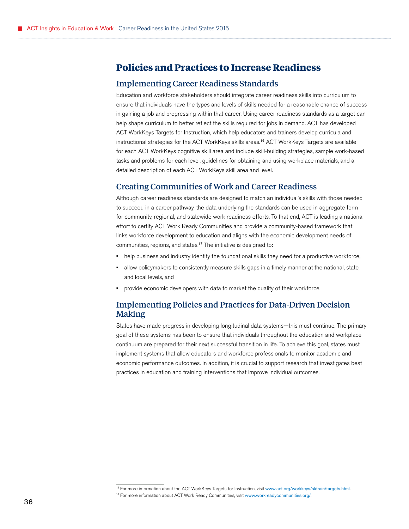## <span id="page-39-0"></span>**Policies and Practices to Increase Readiness**

#### Implementing Career Readiness Standards

Education and workforce stakeholders should integrate career readiness skills into curriculum to ensure that individuals have the types and levels of skills needed for a reasonable chance of success in gaining a job and progressing within that career. Using career readiness standards as a target can help shape curriculum to better reflect the skills required for jobs in demand. ACT has developed ACT WorkKeys Targets for Instruction, which help educators and trainers develop curricula and instructional strategies for the ACT WorkKeys skills [areas.](http://www.onetonline.org/)<sup>16</sup> ACT WorkKeys Targets are available for each ACT WorkKeys cognitive skill area and include skill-building strategies, sample work-based tasks and problems for each level, guidelines for obtaining and using workplace materials, and a detailed description of each ACT WorkKeys skill area and level.

#### Creating Communities of Work and Career Readiness

Although career readiness standards are designed to match an individual's skills with those needed to succeed in a career pathway, the data underlying the standards can be used in aggregate form for community, regional, and statewide work readiness efforts. To that end, ACT is leading a national effort to certify ACT Work Ready Communities and provide a community-based framework that links workforce development to education and aligns with the economic development needs of communities, regions, and [states.](http://www.onetonline.org/)<sup>17</sup> The initiative is designed to:

- help business and industry identify the foundational skills they need for a productive workforce,
- allow policymakers to consistently measure skills gaps in a timely manner at the national, state, and local levels, and
- provide economic developers with data to market the quality of their workforce.

## Implementing Policies and Practices for Data-Driven Decision Making

States have made progress in developing longitudinal data systems—this must continue. The primary goal of these systems has been to ensure that individuals throughout the education and workplace continuum are prepared for their next successful transition in life. To achieve this goal, states must implement systems that allow educators and workforce professionals to monitor academic and economic performance outcomes. In addition, it is crucial to support research that investigates best practices in education and training interventions that improve individual outcomes.

<sup>16</sup> For more information about the ACT WorkKeys Targets for Instruction, visit [www.act.org/workkeys/sktrain/targets.html](http://www.onetonline.org/). <sup>17</sup> For more information about ACT Work Ready Communities, visit [www.workreadycommunities.org/](http://www.onetonline.org/).